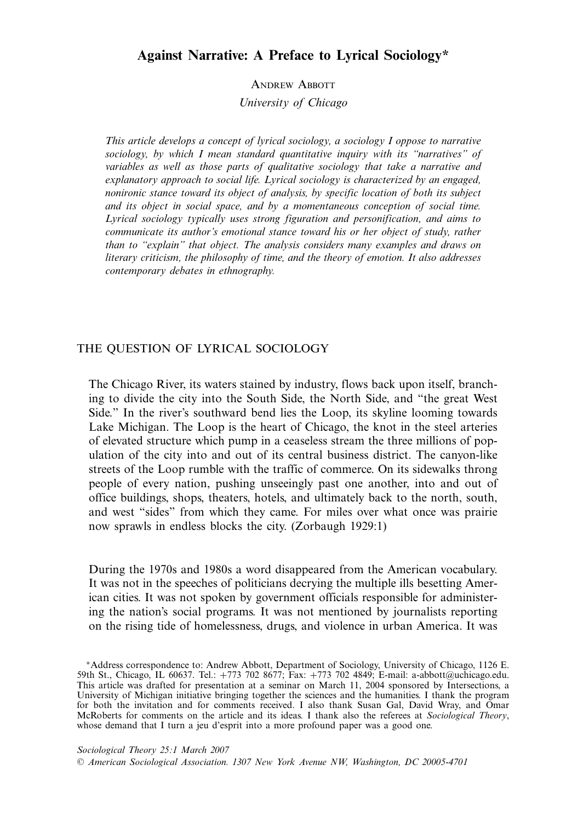# **Against Narrative: A Preface to Lyrical Sociology\***

#### ANDREW ABBOTT

*University of Chicago*

*This article develops a concept of lyrical sociology, a sociology I oppose to narrative sociology, by which I mean standard quantitative inquiry with its "narratives" of variables as well as those parts of qualitative sociology that take a narrative and explanatory approach to social life. Lyrical sociology is characterized by an engaged, nonironic stance toward its object of analysis, by specific location of both its subject and its object in social space, and by a momentaneous conception of social time. Lyrical sociology typically uses strong figuration and personification, and aims to communicate its author's emotional stance toward his or her object of study, rather than to "explain" that object. The analysis considers many examples and draws on literary criticism, the philosophy of time, and the theory of emotion. It also addresses contemporary debates in ethnography.*

### THE QUESTION OF LYRICAL SOCIOLOGY

The Chicago River, its waters stained by industry, flows back upon itself, branching to divide the city into the South Side, the North Side, and "the great West Side." In the river's southward bend lies the Loop, its skyline looming towards Lake Michigan. The Loop is the heart of Chicago, the knot in the steel arteries of elevated structure which pump in a ceaseless stream the three millions of population of the city into and out of its central business district. The canyon-like streets of the Loop rumble with the traffic of commerce. On its sidewalks throng people of every nation, pushing unseeingly past one another, into and out of office buildings, shops, theaters, hotels, and ultimately back to the north, south, and west "sides" from which they came. For miles over what once was prairie now sprawls in endless blocks the city. (Zorbaugh 1929:1)

During the 1970sand 1980sa word disappeared from the American vocabulary. It was not in the speeches of politicians decrying the multiple ills besetting American cities. It was not spoken by government officials responsible for administering the nation's social programs. It was not mentioned by journalists reporting on the rising tide of homelessness, drugs, and violence in urban America. It was

*Sociological Theory 25:1 March 2007* <sup>C</sup> *American Sociological Association. 1307 New York Avenue NW, Washington, DC 20005-4701*

<sup>∗</sup>Address correspondence to: Andrew Abbott, Department of Sociology, University of Chicago, 1126 E. 59th St., Chicago, IL 60637. Tel.: +773 702 8677; Fax: +773 702 4849; E-mail: a-abbott@uchicago.edu. This article was drafted for presentation at a seminar on March 11, 2004 sponsored by Intersections, a University of Michigan initiative bringing together the sciences and the humanities. I thank the program for both the invitation and for comments received. I also thank Susan Gal, David Wray, and Omar McRoberts for comments on the article and its ideas. I thank also the referees at *Sociological Theory*, whose demand that I turn a jeu d'esprit into a more profound paper was a good one.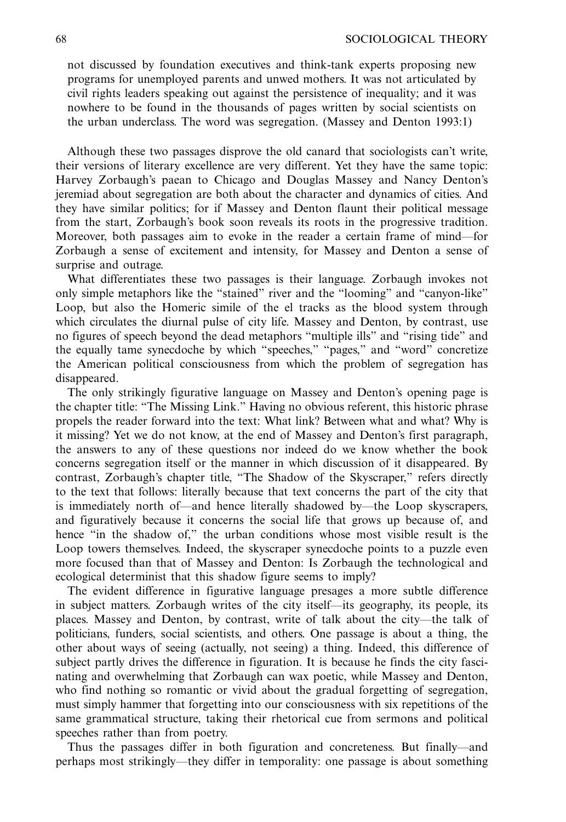not discussed by foundation executives and think-tank experts proposing new programsfor unemployed parentsand unwed mothers. It wasnot articulated by civil rights leaders speaking out against the persistence of inequality; and it was nowhere to be found in the thousands of pages written by social scientists on the urban underclass. The word was segregation. (Massey and Denton 1993:1)

Although these two passages disprove the old canard that sociologists can't write, their versions of literary excellence are very different. Yet they have the same topic: Harvey Zorbaugh's paean to Chicago and Douglas Massey and Nancy Denton's jeremiad about segregation are both about the character and dynamics of cities. And they have similar politics; for if Massey and Denton flaunt their political message from the start, Zorbaugh's book soon reveals its roots in the progressive tradition. Moreover, both passages aim to evoke in the reader a certain frame of mind—for Zorbaugh a sense of excitement and intensity, for Massey and Denton a sense of surprise and outrage.

What differentiates these two passages is their language. Zorbaugh invokes not only simple metaphors like the "stained" river and the "looming" and "canyon-like" Loop, but also the Homeric simile of the el tracks as the blood system through which circulates the diurnal pulse of city life. Massey and Denton, by contrast, use no figures of speech beyond the dead metaphors "multiple ills" and "rising tide" and the equally tame synecdoche by which "speeches," "pages," and "word" concretize the American political consciousness from which the problem of segregation has disappeared.

The only strikingly figurative language on Massey and Denton's opening page is the chapter title: "The Missing Link." Having no obvious referent, this historic phrase propels the reader forward into the text: What link? Between what and what? Why is it missing? Yet we do not know, at the end of Massey and Denton's first paragraph, the answers to any of these questions nor indeed do we know whether the book concerns segregation itself or the manner in which discussion of it disappeared. By contrast, Zorbaugh's chapter title, "The Shadow of the Skyscraper," refers directly to the text that follows: literally because that text concerns the part of the city that is immediately north of—and hence literally shadowed by—the Loop skyscrapers, and figuratively because it concerns the social life that grows up because of, and hence "in the shadow of," the urban conditions whose most visible result is the Loop towers themselves. Indeed, the skyscraper synecdoche points to a puzzle even more focused than that of Massey and Denton: Is Zorbaugh the technological and ecological determinist that this shadow figure seems to imply?

The evident difference in figurative language presages a more subtle difference in subject matters. Zorbaugh writes of the city itself—its geography, its people, its places. Massey and Denton, by contrast, write of talk about the city—the talk of politicians, funders, social scientists, and others. One passage is about a thing, the other about ways of seeing (actually, not seeing) a thing. Indeed, this difference of subject partly drives the difference in figuration. It is because he finds the city fascinating and overwhelming that Zorbaugh can wax poetic, while Massey and Denton, who find nothing so romantic or vivid about the gradual forgetting of segregation, must simply hammer that forgetting into our consciousness with six repetitions of the same grammatical structure, taking their rhetorical cue from sermons and political speeches rather than from poetry.

Thus the passages differ in both figuration and concreteness. But finally—and perhaps most strikingly—they differ in temporality: one passage is about something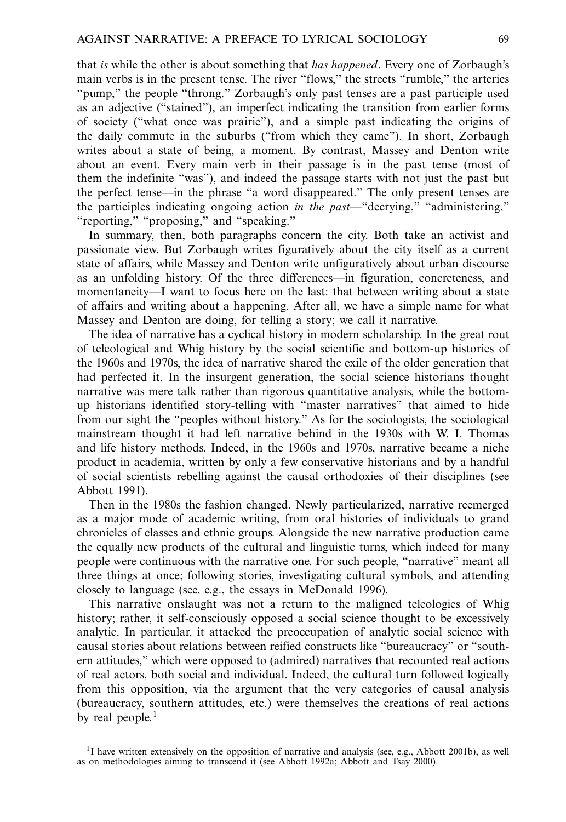that *is* while the other isabout something that *has happened*. Every one of Zorbaugh's main verbs is in the present tense. The river "flows," the streets "rumble," the arteries "pump," the people "throng." Zorbaugh's only past tenses are a past participle used as an adjective ("stained"), an imperfect indicating the transition from earlier forms of society ("what once was prairie"), and a simple past indicating the origins of the daily commute in the suburbs ("from which they came"). In short, Zorbaugh writes about a state of being, a moment. By contrast, Massey and Denton write about an event. Every main verb in their passage is in the past tense (most of them the indefinite "was"), and indeed the passage starts with not just the past but the perfect tense—in the phrase "a word disappeared." The only present tenses are the participlesindicating ongoing action *in the past*—"decrying," "administering," "reporting," "proposing," and "speaking."

In summary, then, both paragraphs concern the city. Both take an activist and passionate view. But Zorbaugh writes figuratively about the city itself as a current state of affairs, while Massey and Denton write unfiguratively about urban discourse as an unfolding history. Of the three differences—in figuration, concreteness, and momentaneity—I want to focus here on the last: that between writing about a state of affairsand writing about a happening. After all, we have a simple name for what Massey and Denton are doing, for telling a story; we call it narrative.

The idea of narrative has a cyclical history in modern scholarship. In the great rout of teleological and Whig history by the social scientific and bottom-up histories of the 1960sand 1970s, the idea of narrative shared the exile of the older generation that had perfected it. In the insurgent generation, the social science historians thought narrative was mere talk rather than rigorous quantitative analysis, while the bottomup historians identified story-telling with "master narratives" that aimed to hide from our sight the "peoples without history." As for the sociologists, the sociological mainstream thought it had left narrative behind in the 1930s with W. I. Thomas and life history methods. Indeed, in the 1960s and 1970s, narrative became a niche product in academia, written by only a few conservative historians and by a handful of social scientists rebelling against the causal orthodoxies of their disciplines (see Abbott 1991).

Then in the 1980s the fashion changed. Newly particularized, narrative reemerged as a major mode of academic writing, from oral histories of individuals to grand chronicles of classes and ethnic groups. Alongside the new narrative production came the equally new products of the cultural and linguistic turns, which indeed for many people were continuouswith the narrative one. For such people, "narrative" meant all three things at once; following stories, investigating cultural symbols, and attending closely to language (see, e.g., the essays in McDonald 1996).

This narrative onslaught was not a return to the maligned teleologies of Whig history; rather, it self-consciously opposed a social science thought to be excessively analytic. In particular, it attacked the preoccupation of analytic social science with causal stories about relations between reified constructs like "bureaucracy" or "southern attitudes," which were opposed to (admired) narratives that recounted real actions of real actors, both social and individual. Indeed, the cultural turn followed logically from this opposition, via the argument that the very categories of causal analysis (bureaucracy, southern attitudes, etc.) were themselves the creations of real actions by real people.<sup>1</sup>

 $1<sup>1</sup>$  have written extensively on the opposition of narrative and analysis (see, e.g., Abbott 2001b), as well as on methodologies aiming to transcend it (see Abbott 1992a; Abbott and Tsay 2000).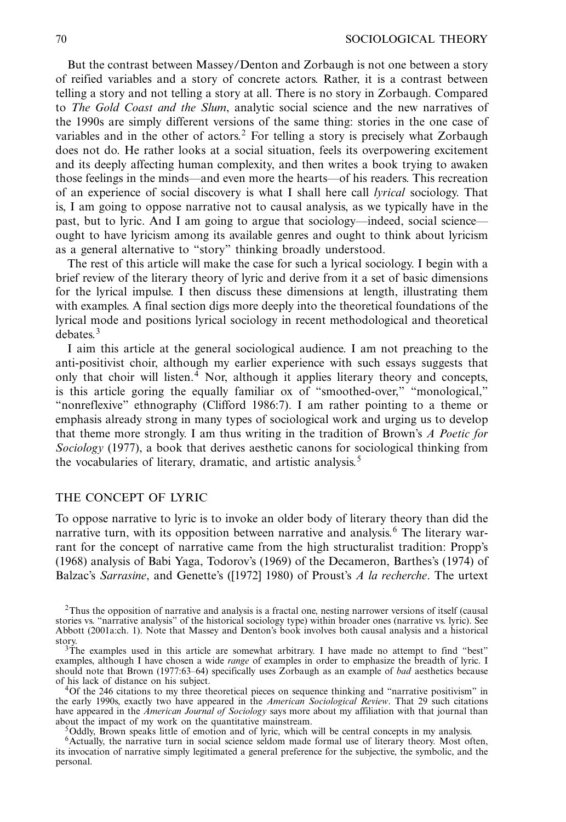But the contrast between Massey/Denton and Zorbaugh is not one between a story of reified variables and a story of concrete actors. Rather, it is a contrast between telling a story and not telling a story at all. There is no story in Zorbaugh. Compared to *The Gold Coast and the Slum*, analytic social science and the new narratives of the 1990s are simply different versions of the same thing: stories in the one case of variables and in the other of actors.<sup>2</sup> For telling a story is precisely what Zorbaugh does not do. He rather looks at a social situation, feels its overpowering excitement and its deeply affecting human complexity, and then writes a book trying to awaken those feelings in the minds—and even more the hearts—of his readers. This recreation of an experience of social discovery is what I shall here call *lyrical* sociology. That is, I am going to oppose narrative not to causal analysis, as we typically have in the past, but to lyric. And I am going to argue that sociology—indeed, social science ought to have lyricism among its available genres and ought to think about lyricism as a general alternative to "story" thinking broadly understood.

The rest of this article will make the case for such a lyrical sociology. I begin with a brief review of the literary theory of lyric and derive from it a set of basic dimensions for the lyrical impulse. I then discuss these dimensions at length, illustrating them with examples. A final section digs more deeply into the theoretical foundations of the lyrical mode and positions lyrical sociology in recent methodological and theoretical debates.<sup>3</sup>

I aim thisarticle at the general sociological audience. I am not preaching to the anti-positivist choir, although my earlier experience with such essays suggests that only that choir will listen.<sup>4</sup> Nor, although it applies literary theory and concepts, is this article goring the equally familiar ox of "smoothed-over," "monological," "nonreflexive" ethnography (Clifford 1986:7). I am rather pointing to a theme or emphasis already strong in many types of sociological work and urging us to develop that theme more strongly. I am thus writing in the tradition of Brown's *A Poetic for Sociology* (1977), a book that derives aesthetic canons for sociological thinking from the vocabularies of literary, dramatic, and artistic analysis.<sup>5</sup>

# THE CONCEPT OF LYRIC

To oppose narrative to lyric is to invoke an older body of literary theory than did the narrative turn, with its opposition between narrative and analysis.<sup>6</sup> The literary warrant for the concept of narrative came from the high structuralist tradition: Propp's (1968) analysisof Babi Yaga, Todorov's(1969) of the Decameron, Barthes's(1974) of Balzac's *Sarrasine*, and Genette's([1972] 1980) of Proust's *A la recherche*. The urtext

 $5$ Oddly, Brown speaks little of emotion and of lyric, which will be central concepts in my analysis.

<sup>6</sup>Actually, the narrative turn in social science seldom made formal use of literary theory. Most often, its invocation of narrative simply legitimated a general preference for the subjective, the symbolic, and the personal.

<sup>2</sup>Thus the opposition of narrative and analysis is a fractal one, nesting narrower versions of itself (causal stories vs. "narrative analysis" of the historical sociology type) within broader ones (narrative vs. lyric). See Abbott (2001a:ch. 1). Note that Massey and Denton's book involves both causal analysis and a historical

story.<br><sup>3</sup>The examples used in this article are somewhat arbitrary. I have made no attempt to find "best" examples, although I have chosen a wide *range* of examplesin order to emphasize the breadth of lyric. I should note that Brown (1977:63–64) specifically uses Zorbaugh as an example of *bad* aesthetics because

<sup>&</sup>lt;sup>4</sup>Of the 246 citations to my three theoretical pieces on sequence thinking and "narrative positivism" in the early 1990s, exactly two have appeared in the *American Sociological Review*. That 29 such citations have appeared in the *American Journal of Sociology* says more about my affiliation with that journal than about the impact of my work on the quantitative mainstream.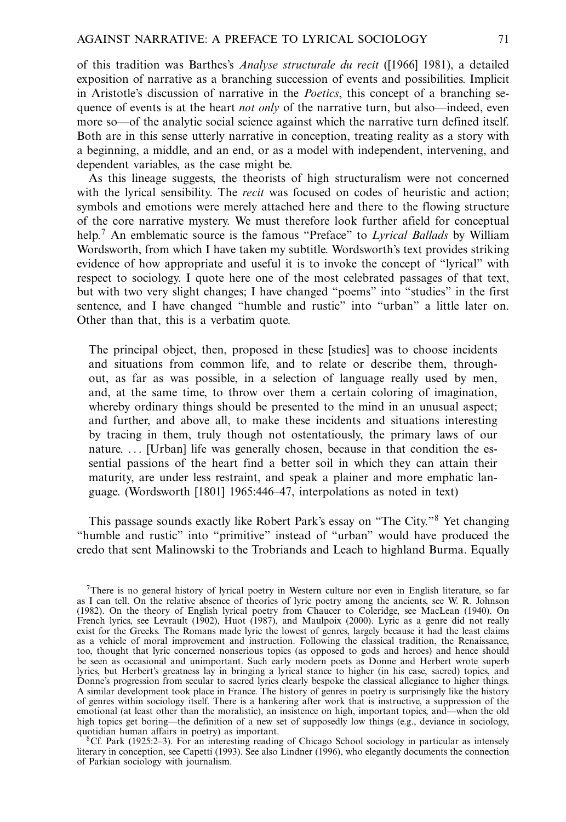of this tradition was Barthes's *Analyse structurale du recit* ([1966] 1981), a detailed exposition of narrative as a branching succession of events and possibilities. Implicit in Aristotle's discussion of narrative in the *Poetics*, thisconcept of a branching sequence of events is at the heart *not only* of the narrative turn, but also—indeed, even more so—of the analytic social science against which the narrative turn defined itself. Both are in this sense utterly narrative in conception, treating reality as a story with a beginning, a middle, and an end, or asa model with independent, intervening, and dependent variables, as the case might be.

As this lineage suggests, the theorists of high structuralism were not concerned with the lyrical sensibility. The *recit* was focused on codes of heuristic and action; symbols and emotions were merely attached here and there to the flowing structure of the core narrative mystery. We must therefore look further afield for conceptual help.<sup>7</sup> An emblematic source is the famous "Preface" to *Lyrical Ballads* by William Wordsworth, from which I have taken my subtitle. Wordsworth's text provides striking evidence of how appropriate and useful it is to invoke the concept of "lyrical" with respect to sociology. I quote here one of the most celebrated passages of that text, but with two very slight changes; I have changed "poems" into "studies" in the first sentence, and I have changed "humble and rustic" into "urban" a little later on. Other than that, this is a verbatim quote.

The principal object, then, proposed in these [studies] was to choose incidents and situations from common life, and to relate or describe them, throughout, as far as was possible, in a selection of language really used by men, and, at the same time, to throw over them a certain coloring of imagination, whereby ordinary things should be presented to the mind in an unusual aspect; and further, and above all, to make these incidents and situations interesting by tracing in them, truly though not ostentatiously, the primary laws of our nature. ... [Urban] life was generally chosen, because in that condition the essential passions of the heart find a better soil in which they can attain their maturity, are under less restraint, and speak a plainer and more emphatic language. (Wordsworth [1801] 1965:446–47, interpolations as noted in text)

This passage sounds exactly like Robert Park's essay on "The City."<sup>8</sup> Yet changing "humble and rustic" into "primitive" instead of "urban" would have produced the credo that sent Malinowski to the Trobriands and Leach to highland Burma. Equally

 ${}^8$ Cf. Park (1925:2–3). For an interesting reading of Chicago School sociology in particular as intensely literary in conception, see Capetti (1993). See also Lindner (1996), who elegantly documents the connection of Parkian sociology with journalism.

<sup>7</sup>There is no general history of lyrical poetry in Western culture nor even in English literature, so far as I can tell. On the relative absence of theories of lyric poetry among the ancients, see W. R. Johnson (1982). On the theory of English lyrical poetry from Chaucer to Coleridge, see MacLean (1940). On French lyrics, see Levrault (1902), Huot (1987), and Maulpoix (2000). Lyric as a genre did not really exist for the Greeks. The Romans made lyric the lowest of genres, largely because it had the least claims as a vehicle of moral improvement and instruction. Following the classical tradition, the Renaissance, too, thought that lyric concerned nonserious topics (as opposed to gods and heroes) and hence should be seen as occasional and unimportant. Such early modern poets as Donne and Herbert wrote superb lyrics, but Herbert's greatness lay in bringing a lyrical stance to higher (in his case, sacred) topics, and Donne's progression from secular to sacred lyrics clearly bespoke the classical allegiance to higher things. A similar development took place in France. The history of genres in poetry is surprisingly like the history of genres within sociology itself. There is a hankering after work that is instructive, a suppression of the emotional (at least other than the moralistic), an insistence on high, important topics, and—when the old high topics get boring—the definition of a new set of supposedly low things (e.g., deviance in sociology, quotidian human affairs in poetry) as important.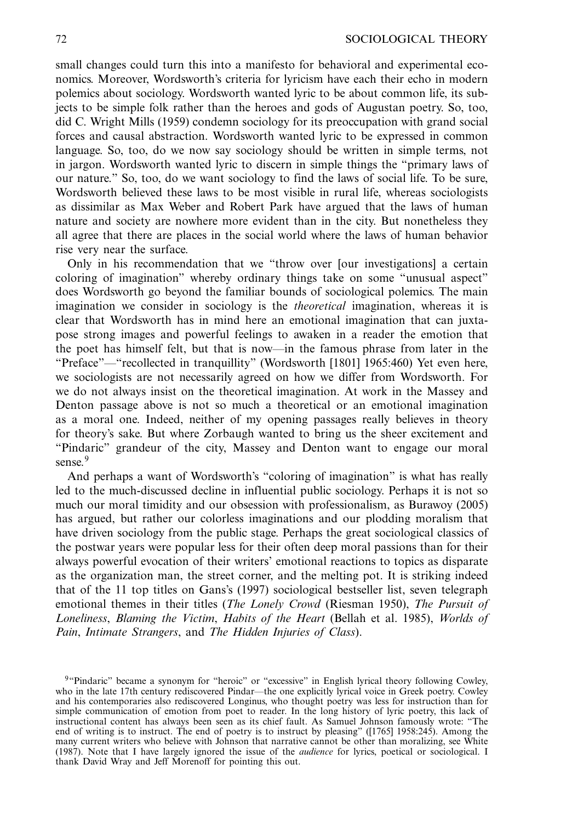small changes could turn this into a manifesto for behavioral and experimental economics. Moreover, Wordsworth's criteria for lyricism have each their echo in modern polemics about sociology. Wordsworth wanted lyric to be about common life, its subjects to be simple folk rather than the heroes and gods of Augustan poetry. So, too, did C. Wright Mills (1959) condemn sociology for its preoccupation with grand social forces and causal abstraction. Wordsworth wanted lyric to be expressed in common language. So, too, do we now say sociology should be written in simple terms, not in jargon. Wordsworth wanted lyric to discern in simple things the "primary laws of our nature." So, too, do we want sociology to find the laws of social life. To be sure, Wordsworth believed these laws to be most visible in rural life, whereas sociologists asdissimilar asMax Weber and Robert Park have argued that the lawsof human nature and society are nowhere more evident than in the city. But nonetheless they all agree that there are placesin the social world where the lawsof human behavior rise very near the surface.

Only in his recommendation that we "throw over [our investigations] a certain coloring of imagination" whereby ordinary things take on some "unusual aspect" does Wordsworth go beyond the familiar bounds of sociological polemics. The main imagination we consider in sociology is the *theoretical* imagination, whereasit is clear that Wordsworth has in mind here an emotional imagination that can juxtapose strong images and powerful feelings to awaken in a reader the emotion that the poet has himself felt, but that is now—in the famous phrase from later in the "Preface"—"recollected in tranquillity" (Wordsworth [1801] 1965:460) Yet even here, we sociologists are not necessarily agreed on how we differ from Wordsworth. For we do not always insist on the theoretical imagination. At work in the Massey and Denton passage above is not so much a theoretical or an emotional imagination as a moral one. Indeed, neither of my opening passages really believes in theory for theory'ssake. But where Zorbaugh wanted to bring usthe sheer excitement and "Pindaric" grandeur of the city, Massey and Denton want to engage our moral sense.<sup>9</sup>

And perhaps a want of Wordsworth's "coloring of imagination" is what has really led to the much-discussed decline in influential public sociology. Perhaps it is not so much our moral timidity and our obsession with professionalism, as Burawoy (2005) has argued, but rather our colorless imaginations and our plodding moralism that have driven sociology from the public stage. Perhaps the great sociological classics of the postwar years were popular less for their often deep moral passions than for their always powerful evocation of their writers' emotional reactions to topics as disparate asthe organization man, the street corner, and the melting pot. It isstriking indeed that of the 11 top titles on Gans's (1997) sociological bestseller list, seven telegraph emotional themesin their titles(*The Lonely Crowd* (Riesman 1950), *The Pursuit of Loneliness*, *Blaming the Victim*, *Habits of the Heart* (Bellah et al. 1985), *Worlds of Pain*, *Intimate Strangers*, and *The Hidden Injuries of Class*).

<sup>&</sup>lt;sup>9"</sup>Pindaric" became a synonym for "heroic" or "excessive" in English lyrical theory following Cowley, who in the late 17th century rediscovered Pindar—the one explicitly lyrical voice in Greek poetry. Cowley and his contemporaries also rediscovered Longinus, who thought poetry was less for instruction than for simple communication of emotion from poet to reader. In the long history of lyric poetry, this lack of instructional content has always been seen as its chief fault. As Samuel Johnson famously wrote: "The end of writing is to instruct. The end of poetry is to instruct by pleasing" ([1765] 1958:245). Among the many current writers who believe with Johnson that narrative cannot be other than moralizing, see White (1987). Note that I have largely ignored the issue of the *audience* for lyrics, poetical or sociological. I thank David Wray and Jeff Morenoff for pointing this out.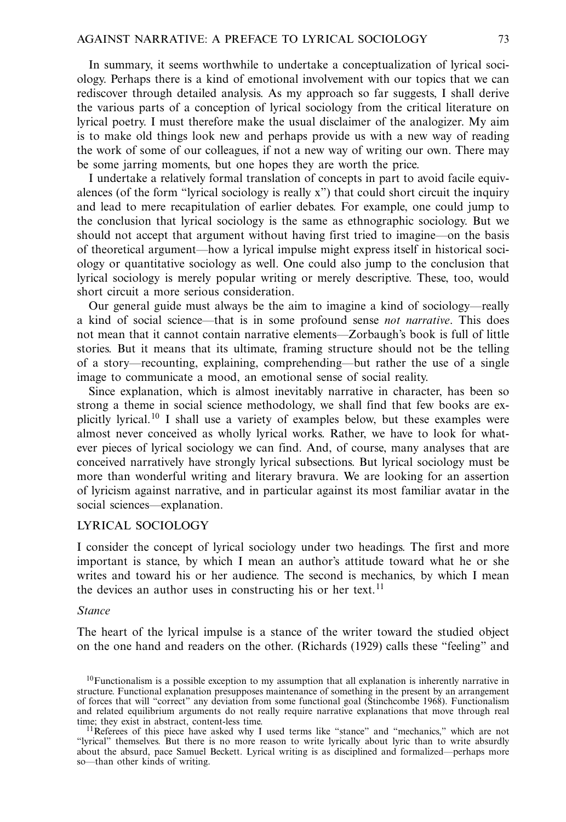In summary, it seems worthwhile to undertake a conceptualization of lyrical sociology. Perhaps there is a kind of emotional involvement with our topics that we can rediscover through detailed analysis. As my approach so far suggests, I shall derive the various parts of a conception of lyrical sociology from the critical literature on lyrical poetry. I must therefore make the usual disclaimer of the analogizer. My aim is to make old things look new and perhaps provide us with a new way of reading the work of some of our colleagues, if not a new way of writing our own. There may be some jarring moments, but one hopes they are worth the price.

I undertake a relatively formal translation of concepts in part to avoid facile equivalences (of the form "lyrical sociology is really x") that could short circuit the inquiry and lead to mere recapitulation of earlier debates. For example, one could jump to the conclusion that lyrical sociology is the same as ethnographic sociology. But we should not accept that argument without having first tried to imagine—on the basis of theoretical argument—how a lyrical impulse might express itself in historical sociology or quantitative sociology as well. One could also jump to the conclusion that lyrical sociology is merely popular writing or merely descriptive. These, too, would short circuit a more serious consideration.

Our general guide must always be the aim to imagine a kind of sociology—really a kind of social science—that is in some profound sense *not narrative*. Thisdoes not mean that it cannot contain narrative elements—Zorbaugh's book is full of little stories. But it means that its ultimate, framing structure should not be the telling of a story—recounting, explaining, comprehending—but rather the use of a single image to communicate a mood, an emotional sense of social reality.

Since explanation, which is almost inevitably narrative in character, has been so strong a theme in social science methodology, we shall find that few books are explicitly lyrical.<sup>10</sup> I shall use a variety of examples below, but these examples were almost never conceived as wholly lyrical works. Rather, we have to look for whatever pieces of lyrical sociology we can find. And, of course, many analyses that are conceived narratively have strongly lyrical subsections. But lyrical sociology must be more than wonderful writing and literary bravura. We are looking for an assertion of lyricism against narrative, and in particular against its most familiar avatar in the social sciences—explanation.

# LYRICAL SOCIOLOGY

I consider the concept of lyrical sociology under two headings. The first and more important is stance, by which I mean an author's attitude toward what he or she writes and toward his or her audience. The second is mechanics, by which I mean the devices an author uses in constructing his or her text.<sup>11</sup>

#### *Stance*

The heart of the lyrical impulse is a stance of the writer toward the studied object on the one hand and readers on the other. (Richards (1929) calls these "feeling" and

 $10$ Functionalism is a possible exception to my assumption that all explanation is inherently narrative in structure. Functional explanation presupposes maintenance of something in the present by an arrangement of forces that will "correct" any deviation from some functional goal (Stinchcombe 1968). Functionalism and related equilibrium arguments do not really require narrative explanations that move through real time; they exist in abstract, content-less time.

<sup>&</sup>lt;sup>11</sup> Referees of this piece have asked why I used terms like "stance" and "mechanics," which are not "lyrical" themselves. But there is no more reason to write lyrically about lyric than to write absurdly about the absurd, pace Samuel Beckett. Lyrical writing is as disciplined and formalized—perhaps more so—than other kinds of writing.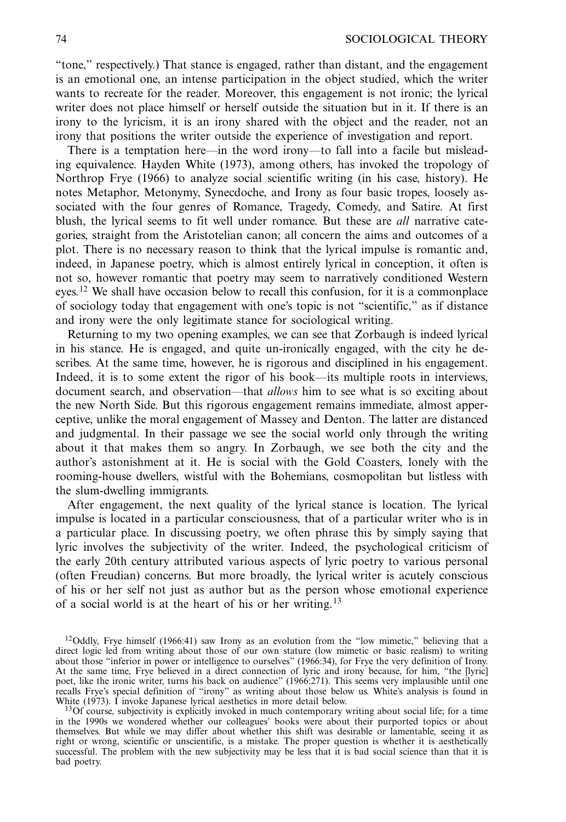"tone," respectively.) That stance is engaged, rather than distant, and the engagement is an emotional one, an intense participation in the object studied, which the writer wants to recreate for the reader. Moreover, this engagement is not ironic; the lyrical writer does not place himself or herself outside the situation but in it. If there is an irony to the lyricism, it is an irony shared with the object and the reader, not an irony that positions the writer outside the experience of investigation and report.

There is a temptation here—in the word irony—to fall into a facile but misleading equivalence. Hayden White (1973), among others, has invoked the tropology of Northrop Frye (1966) to analyze social scientific writing (in his case, history). He notes Metaphor, Metonymy, Synecdoche, and Irony as four basic tropes, loosely associated with the four genres of Romance, Tragedy, Comedy, and Satire. At first blush, the lyrical seems to fit well under romance. But these are *all* narrative categories, straight from the Aristotelian canon; all concern the aims and outcomes of a plot. There is no necessary reason to think that the lyrical impulse is romantic and, indeed, in Japanese poetry, which is almost entirely lyrical in conception, it often is not so, however romantic that poetry may seem to narratively conditioned Western eyes.<sup>12</sup> We shall have occasion below to recall this confusion, for it is a commonplace of sociology today that engagement with one's topic is not "scientific," as if distance and irony were the only legitimate stance for sociological writing.

Returning to my two opening examples, we can see that Zorbaugh is indeed lyrical in his stance. He is engaged, and quite un-ironically engaged, with the city he describes. At the same time, however, he is rigorous and disciplined in his engagement. Indeed, it is to some extent the rigor of his book—its multiple roots in interviews, document search, and observation—that *allows* him to see what is so exciting about the new North Side. But this rigorous engagement remains immediate, almost apperceptive, unlike the moral engagement of Massey and Denton. The latter are distanced and judgmental. In their passage we see the social world only through the writing about it that makes them so angry. In Zorbaugh, we see both the city and the author's astonishment at it. He is social with the Gold Coasters, lonely with the rooming-house dwellers, wistful with the Bohemians, cosmopolitan but listless with the slum-dwelling immigrants.

After engagement, the next quality of the lyrical stance is location. The lyrical impulse is located in a particular consciousness, that of a particular writer who is in a particular place. In discussing poetry, we often phrase this by simply saying that lyric involves the subjectivity of the writer. Indeed, the psychological criticism of the early 20th century attributed various aspects of lyric poetry to various personal (often Freudian) concerns. But more broadly, the lyrical writer is acutely conscious of his or her self not just as author but as the person whose emotional experience of a social world is at the heart of his or her writing.<sup>13</sup>

 $12$ Oddly, Frye himself (1966:41) saw Irony as an evolution from the "low mimetic," believing that a direct logic led from writing about those of our own stature (low mimetic or basic realism) to writing about those "inferior in power or intelligence to ourselves" (1966:34), for Frye the very definition of Irony. At the same time, Frye believed in a direct connection of lyric and irony because, for him, "the [lyric] poet, like the ironic writer, turns his back on audience" (1966:271). This seems very implausible until one recalls Frye's special definition of "irony" as writing about those below us. White's analysis is found in White (1973). I invoke Japanese lyrical aesthetics in more detail below.

 $^{13}$ Of course, subjectivity is explicitly invoked in much contemporary writing about social life; for a time in the 1990s we wondered whether our colleagues' books were about their purported topics or about themselves. But while we may differ about whether this shift was desirable or lamentable, seeing it as right or wrong, scientific or unscientific, is a mistake. The proper question is whether it is aesthetically successful. The problem with the new subjectivity may be less that it is bad social science than that it is bad poetry.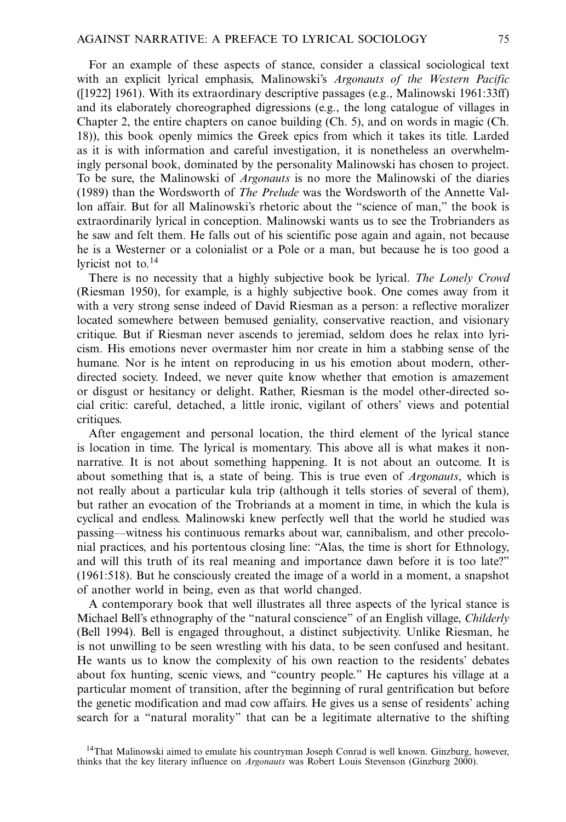For an example of these aspects of stance, consider a classical sociological text with an explicit lyrical emphasis, Malinowski's *Argonauts of the Western Pacific* ([1922] 1961). With its extraordinary descriptive passages (e.g., Malinowski 1961:33ff) and its elaborately choreographed digressions (e.g., the long catalogue of villages in Chapter 2, the entire chapters on canoe building (Ch. 5), and on words in magic (Ch. 18)), this book openly mimics the Greek epics from which it takes its title. Larded as it is with information and careful investigation, it is nonetheless an overwhelmingly personal book, dominated by the personality Malinowski has chosen to project. To be sure, the Malinowski of *Argonauts* is no more the Malinowski of the diaries (1989) than the Wordsworth of *The Prelude* wasthe Wordsworth of the Annette Vallon affair. But for all Malinowski's rhetoric about the "science of man," the book is extraordinarily lyrical in conception. Malinowski wants us to see the Trobrianders as he saw and felt them. He falls out of his scientific pose again and again, not because he is a Westerner or a colonialist or a Pole or a man, but because he is too good a lyricist not to.<sup>14</sup>

There is no necessity that a highly subjective book be lyrical. *The Lonely Crowd* (Riesman 1950), for example, is a highly subjective book. One comes away from it with a very strong sense indeed of David Riesman as a person: a reflective moralizer located somewhere between bemused geniality, conservative reaction, and visionary critique. But if Riesman never ascends to jeremiad, seldom does he relax into lyricism. His emotions never overmaster him nor create in him a stabbing sense of the humane. Nor is he intent on reproducing in us his emotion about modern, otherdirected society. Indeed, we never quite know whether that emotion is amazement or disgust or hesitancy or delight. Rather, Riesman is the model other-directed social critic: careful, detached, a little ironic, vigilant of others' views and potential critiques.

After engagement and personal location, the third element of the lyrical stance is location in time. The lyrical is momentary. This above all is what makes it nonnarrative. It is not about something happening. It is not about an outcome. It is about something that is, a state of being. This is true even of *Argonauts*, which is not really about a particular kula trip (although it tells stories of several of them), but rather an evocation of the Trobriandsat a moment in time, in which the kula is cyclical and endless. Malinowski knew perfectly well that the world he studied was passing—witness his continuous remarks about war, cannibalism, and other precolonial practices, and his portentous closing line: "Alas, the time is short for Ethnology, and will this truth of its real meaning and importance dawn before it is too late?" (1961:518). But he consciously created the image of a world in a moment, a snapshot of another world in being, even as that world changed.

A contemporary book that well illustrates all three aspects of the lyrical stance is Michael Bell's ethnography of the "natural conscience" of an English village, *Childerly* (Bell 1994). Bell is engaged throughout, a distinct subjectivity. Unlike Riesman, he is not unwilling to be seen wrestling with his data, to be seen confused and hesitant. He wants us to know the complexity of his own reaction to the residents' debates about fox hunting, scenic views, and "country people." He captures his village at a particular moment of transition, after the beginning of rural gentrification but before the genetic modification and mad cow affairs. He gives us a sense of residents' aching search for a "natural morality" that can be a legitimate alternative to the shifting

<sup>&</sup>lt;sup>14</sup>That Malinowski aimed to emulate his countryman Joseph Conrad is well known. Ginzburg, however, thinks that the key literary influence on *Argonauts* was Robert Louis Stevenson (Ginzburg 2000).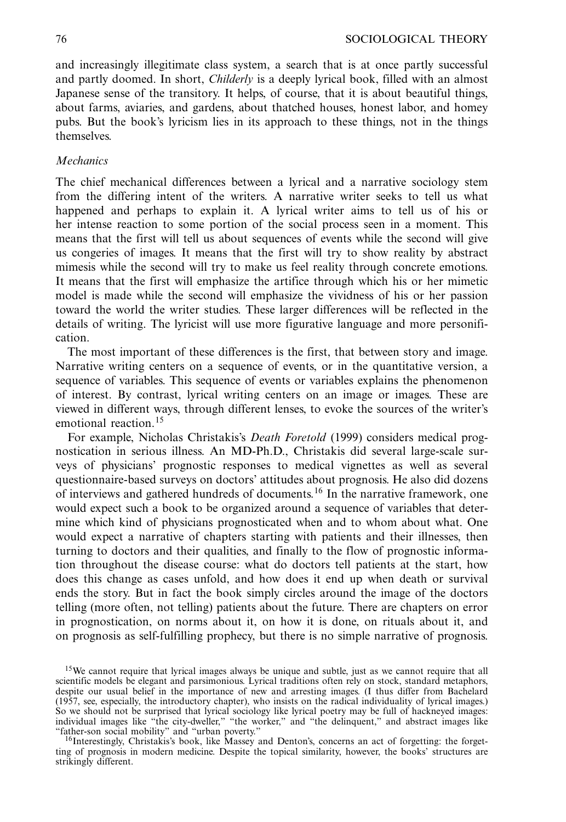and increasingly illegitimate class system, a search that is at once partly successful and partly doomed. In short, *Childerly* isa deeply lyrical book, filled with an almost Japanese sense of the transitory. It helps, of course, that it is about beautiful things, about farms, aviaries, and gardens, about thatched houses, honest labor, and homey pubs. But the book's lyricism lies in its approach to these things, not in the things themselves.

### *Mechanics*

The chief mechanical differences between a lyrical and a narrative sociology stem from the differing intent of the writers. A narrative writer seeks to tell us what happened and perhaps to explain it. A lyrical writer aims to tell us of his or her intense reaction to some portion of the social process seen in a moment. This means that the first will tell us about sequences of events while the second will give us congeries of images. It means that the first will try to show reality by abstract mimesis while the second will try to make us feel reality through concrete emotions. It means that the first will emphasize the artifice through which his or her mimetic model is made while the second will emphasize the vividness of his or her passion toward the world the writer studies. These larger differences will be reflected in the details of writing. The lyricist will use more figurative language and more personification.

The most important of these differences is the first, that between story and image. Narrative writing centers on a sequence of events, or in the quantitative version, a sequence of variables. This sequence of events or variables explains the phenomenon of interest. By contrast, lyrical writing centers on an image or images. These are viewed in different ways, through different lenses, to evoke the sources of the writer's emotional reaction.<sup>15</sup>

For example, Nicholas Christakis's *Death Foretold* (1999) considers medical prognostication in serious illness. An MD-Ph.D., Christakis did several large-scale surveys of physicians' prognostic responses to medical vignettes as well as several questionnaire-based surveys on doctors' attitudes about prognosis. He also did dozens of interviews and gathered hundreds of documents.<sup>16</sup> In the narrative framework, one would expect such a book to be organized around a sequence of variables that determine which kind of physicians prognosticated when and to whom about what. One would expect a narrative of chapters starting with patients and their illnesses, then turning to doctors and their qualities, and finally to the flow of prognostic information throughout the disease course: what do doctors tell patients at the start, how does this change as cases unfold, and how does it end up when death or survival ends the story. But in fact the book simply circles around the image of the doctors telling (more often, not telling) patients about the future. There are chapters on error in prognostication, on norms about it, on how it is done, on rituals about it, and on prognosis as self-fulfilling prophecy, but there is no simple narrative of prognosis.

<sup>&</sup>lt;sup>15</sup>We cannot require that lyrical images always be unique and subtle, just as we cannot require that all scientific models be elegant and parsimonious. Lyrical traditions often rely on stock, standard metaphors, despite our usual belief in the importance of new and arresting images. (I thus differ from Bachelard (1957, see, especially, the introductory chapter), who insists on the radical individuality of lyrical images.) So we should not be surprised that lyrical sociology like lyrical poetry may be full of hackneyed images: individual images like "the city-dweller," "the worker," and "the delinquent," and abstract images like "father-son social mobility" and "urban poverty." <br><sup>16</sup>Interestingly, Christakis's book, like Massey and Denton's, concerns an act of forgetting: the forget-

ting of prognosis in modern medicine. Despite the topical similarity, however, the books' structures are strikingly different.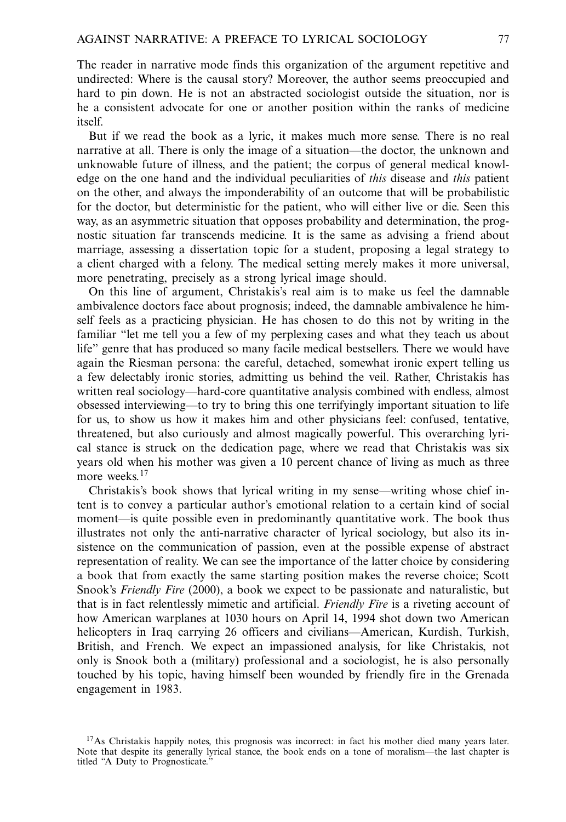The reader in narrative mode finds this organization of the argument repetitive and undirected: Where is the causal story? Moreover, the author seems preoccupied and hard to pin down. He is not an abstracted sociologist outside the situation, nor is he a consistent advocate for one or another position within the ranks of medicine itself.

But if we read the book as a lyric, it makes much more sense. There is no real narrative at all. There is only the image of a situation—the doctor, the unknown and unknowable future of illness, and the patient; the corpus of general medical knowledge on the one hand and the individual peculiarities of *this* disease and *this* patient on the other, and alwaysthe imponderability of an outcome that will be probabilistic for the doctor, but deterministic for the patient, who will either live or die. Seen this way, as an asymmetric situation that opposes probability and determination, the prognostic situation far transcends medicine. It is the same as advising a friend about marriage, assessing a dissertation topic for a student, proposing a legal strategy to a client charged with a felony. The medical setting merely makes it more universal, more penetrating, precisely as a strong lyrical image should.

On this line of argument, Christakis's real aim is to make us feel the damnable ambivalence doctors face about prognosis; indeed, the damnable ambivalence he himself feels as a practicing physician. He has chosen to do this not by writing in the familiar "let me tell you a few of my perplexing cases and what they teach us about life" genre that has produced so many facile medical bestsellers. There we would have again the Riesman persona: the careful, detached, somewhat ironic expert telling us a few delectably ironic stories, admitting us behind the veil. Rather, Christakis has written real sociology—hard-core quantitative analysis combined with endless, almost obsessed interviewing—to try to bring this one terrifyingly important situation to life for us, to show us how it makes him and other physicians feel: confused, tentative, threatened, but also curiously and almost magically powerful. This overarching lyrical stance is struck on the dedication page, where we read that Christakis was six years old when his mother was given a 10 percent chance of living as much as three more weeks.<sup>17</sup>

Christakis's book shows that lyrical writing in my sense—writing whose chief intent isto convey a particular author'semotional relation to a certain kind of social moment—is quite possible even in predominantly quantitative work. The book thus illustrates not only the anti-narrative character of lyrical sociology, but also its insistence on the communication of passion, even at the possible expense of abstract representation of reality. We can see the importance of the latter choice by considering a book that from exactly the same starting position makes the reverse choice; Scott Snook's *Friendly Fire* (2000), a book we expect to be passionate and naturalistic, but that is in fact relentlessly mimetic and artificial. *Friendly Fire* isa riveting account of how American warplanes at 1030 hours on April 14, 1994 shot down two American helicopters in Iraq carrying 26 officers and civilians—American, Kurdish, Turkish, British, and French. We expect an impassioned analysis, for like Christakis, not only is Snook both a (military) professional and a sociologist, he is also personally touched by histopic, having himself been wounded by friendly fire in the Grenada engagement in 1983.

<sup>&</sup>lt;sup>17</sup>As Christakis happily notes, this prognosis was incorrect: in fact his mother died many years later. Note that despite its generally lyrical stance, the book ends on a tone of moralism—the last chapter is titled "A Duty to Prognosticate."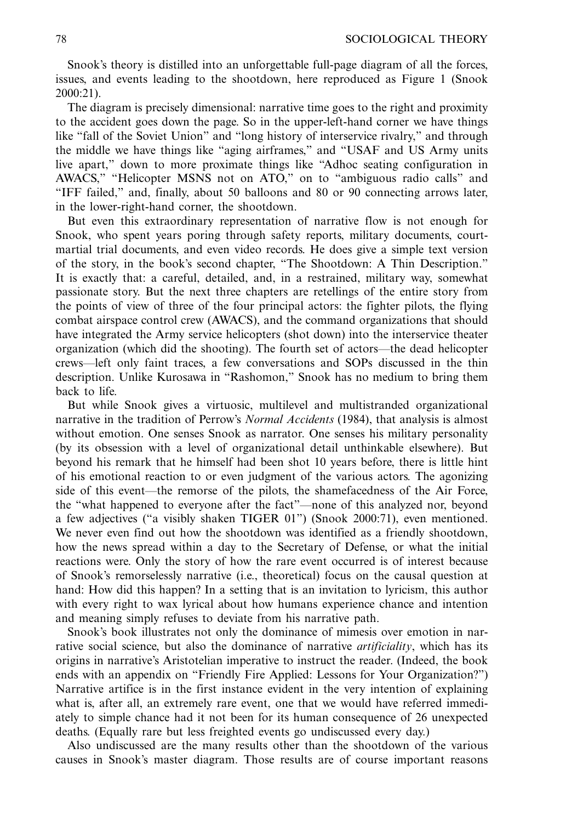Snook's theory is distilled into an unforgettable full-page diagram of all the forces, issues, and events leading to the shootdown, here reproduced as Figure 1 (Snook 2000:21).

The diagram is precisely dimensional: narrative time goes to the right and proximity to the accident goes down the page. So in the upper-left-hand corner we have things like "fall of the Soviet Union" and "long history of interservice rivalry," and through the middle we have thingslike "aging airframes," and "USAF and US Army units live apart," down to more proximate things like "Adhoc seating configuration in AWACS," "Helicopter MSNS not on ATO," on to "ambiguous radio calls" and "IFF failed," and, finally, about 50 balloonsand 80 or 90 connecting arrowslater, in the lower-right-hand corner, the shootdown.

But even this extraordinary representation of narrative flow is not enough for Snook, who spent years poring through safety reports, military documents, courtmartial trial documents, and even video records. He does give a simple text version of the story, in the book's second chapter, "The Shootdown: A Thin Description." It is exactly that: a careful, detailed, and, in a restrained, military way, somewhat passionate story. But the next three chapters are retellings of the entire story from the points of view of three of the four principal actors: the fighter pilots, the flying combat airspace control crew (AWACS), and the command organizations that should have integrated the Army service helicopters (shot down) into the interservice theater organization (which did the shooting). The fourth set of actors—the dead helicopter crews—left only faint traces, a few conversations and SOPs discussed in the thin description. Unlike Kurosawa in "Rashomon," Snook has no medium to bring them back to life.

But while Snook gives a virtuosic, multilevel and multistranded organizational narrative in the tradition of Perrow's *Normal Accidents* (1984), that analysis is almost without emotion. One senses Snook as narrator. One senses his military personality (by its obsession with a level of organizational detail unthinkable elsewhere). But beyond his remark that he himself had been shot 10 years before, there is little hint of his emotional reaction to or even judgment of the various actors. The agonizing side of this event—the remorse of the pilots, the shamefacedness of the Air Force, the "what happened to everyone after the fact"—none of thisanalyzed nor, beyond a few adjectives ("a visibly shaken TIGER 01") (Snook 2000:71), even mentioned. We never even find out how the shootdown was identified as a friendly shootdown, how the news spread within a day to the Secretary of Defense, or what the initial reactions were. Only the story of how the rare event occurred is of interest because of Snook's remorselessly narrative (i.e., theoretical) focus on the causal question at hand: How did this happen? In a setting that is an invitation to lyricism, this author with every right to wax lyrical about how humans experience chance and intention and meaning simply refuses to deviate from his narrative path.

Snook's book illustrates not only the dominance of mimesis over emotion in narrative social science, but also the dominance of narrative *artificiality*, which hasits origins in narrative's Aristotelian imperative to instruct the reader. (Indeed, the book ends with an appendix on "Friendly Fire Applied: Lessons for Your Organization?") Narrative artifice is in the first instance evident in the very intention of explaining what is, after all, an extremely rare event, one that we would have referred immediately to simple chance had it not been for its human consequence of 26 unexpected deaths. (Equally rare but less freighted events go undiscussed every day.)

Also undiscussed are the many results other than the shootdown of the various causes in Snook's master diagram. Those results are of course important reasons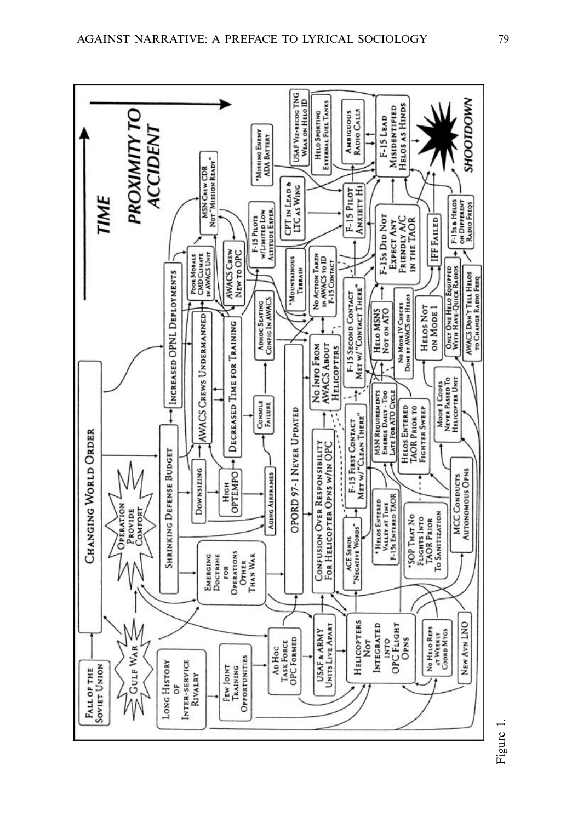

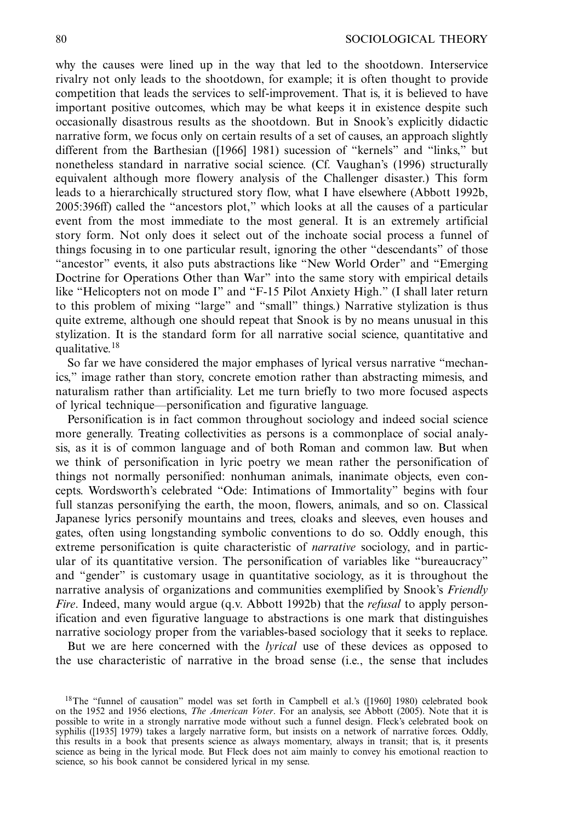why the causes were lined up in the way that led to the shootdown. Interservice rivalry not only leads to the shootdown, for example; it is often thought to provide competition that leads the services to self-improvement. That is, it is believed to have important positive outcomes, which may be what keeps it in existence despite such occasionally disastrous results as the shootdown. But in Snook's explicitly didactic narrative form, we focus only on certain results of a set of causes, an approach slightly different from the Barthesian ([1966] 1981) sucession of "kernels" and "links," but nonetheless standard in narrative social science. (Cf. Vaughan's (1996) structurally equivalent although more flowery analysis of the Challenger disaster.) This form leads to a hierarchically structured story flow, what I have elsewhere (Abbott 1992b, 2005:396ff) called the "ancestors plot," which looks at all the causes of a particular event from the most immediate to the most general. It is an extremely artificial story form. Not only does it select out of the inchoate social process a funnel of things focusing in to one particular result, ignoring the other "descendants" of those "ancestor" events, it also puts abstractions like "New World Order" and "Emerging Doctrine for Operations Other than War" into the same story with empirical details like "Helicopters not on mode I" and "F-15 Pilot Anxiety High." (I shall later return to this problem of mixing "large" and "small" things.) Narrative stylization is thus quite extreme, although one should repeat that Snook is by no means unusual in this stylization. It is the standard form for all narrative social science, quantitative and qualitative.<sup>18</sup>

So far we have considered the major emphases of lyrical versus narrative "mechanics," image rather than story, concrete emotion rather than abstracting mimesis, and naturalism rather than artificiality. Let me turn briefly to two more focused aspects of lyrical technique—personification and figurative language.

Personification is in fact common throughout sociology and indeed social science more generally. Treating collectivities as persons is a commonplace of social analysis, as it is of common language and of both Roman and common law. But when we think of personification in lyric poetry we mean rather the personification of things not normally personified: nonhuman animals, inanimate objects, even concepts. Wordsworth's celebrated "Ode: Intimations of Immortality" begins with four full stanzas personifying the earth, the moon, flowers, animals, and so on. Classical Japanese lyrics personify mountains and trees, cloaks and sleeves, even houses and gates, often using longstanding symbolic conventions to do so. Oddly enough, this extreme personification is quite characteristic of *narrative* sociology, and in particular of its quantitative version. The personification of variables like "bureaucracy" and "gender" is customary usage in quantitative sociology, as it is throughout the narrative analysis of organizations and communities exemplified by Snook's *Friendly Fire*. Indeed, many would argue (q.v. Abbott 1992b) that the *refusal* to apply personification and even figurative language to abstractions is one mark that distinguishes narrative sociology proper from the variables-based sociology that it seeks to replace.

But we are here concerned with the *lyrical* use of these devices as opposed to the use characteristic of narrative in the broad sense (i.e., the sense that includes

<sup>&</sup>lt;sup>18</sup>The "funnel of causation" model was set forth in Campbell et al.'s ([1960] 1980) celebrated book on the 1952 and 1956 elections, *The American Voter*. For an analysis, see Abbott (2005). Note that it is possible to write in a strongly narrative mode without such a funnel design. Fleck's celebrated book on syphilis ([1935] 1979) takes a largely narrative form, but insists on a network of narrative forces. Oddly, this results in a book that presents science as always momentary, always in transit; that is, it presents science as being in the lyrical mode. But Fleck does not aim mainly to convey his emotional reaction to science, so his book cannot be considered lyrical in my sense.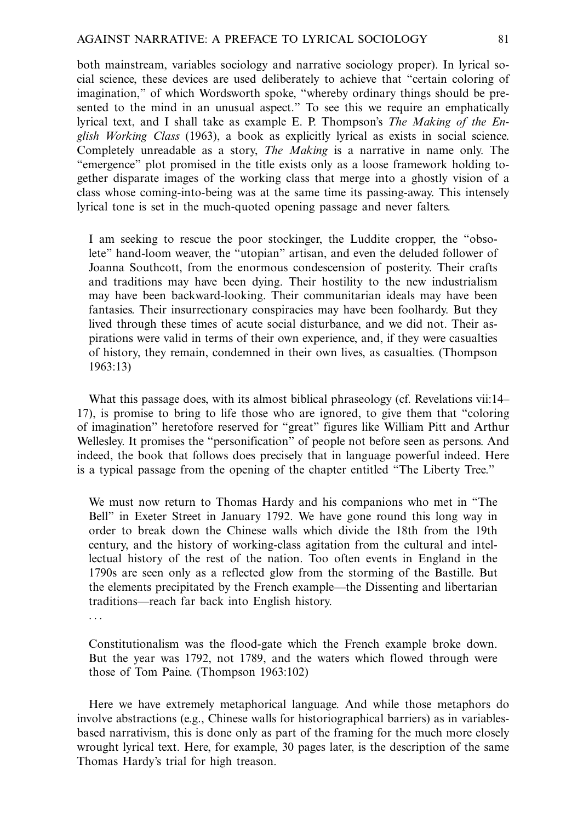both mainstream, variables sociology and narrative sociology proper). In lyrical social science, these devices are used deliberately to achieve that "certain coloring of imagination," of which Wordsworth spoke, "whereby ordinary things should be presented to the mind in an unusual aspect." To see this we require an emphatically lyrical text, and I shall take as example E. P. Thompson's *The Making of the English Working Class* (1963), a book as explicitly lyrical as exists in social science. Completely unreadable as a story, *The Making* is a narrative in name only. The "emergence" plot promised in the title exists only as a loose framework holding together disparate images of the working class that merge into a ghostly vision of a class whose coming-into-being was at the same time its passing-away. This intensely lyrical tone is set in the much-quoted opening passage and never falters.

I am seeking to rescue the poor stockinger, the Luddite cropper, the "obsolete" hand-loom weaver, the "utopian" artisan, and even the deluded follower of Joanna Southcott, from the enormous condescension of posterity. Their crafts and traditions may have been dying. Their hostility to the new industrialism may have been backward-looking. Their communitarian ideals may have been fantasies. Their insurrectionary conspiracies may have been foolhardy. But they lived through these times of acute social disturbance, and we did not. Their aspirations were valid in terms of their own experience, and, if they were casualties of history, they remain, condemned in their own lives, as casualties. (Thompson 1963:13)

What this passage does, with its almost biblical phraseology (cf. Revelations vii:14– 17), is promise to bring to life those who are ignored, to give them that "coloring of imagination" heretofore reserved for "great" figures like William Pitt and Arthur Wellesley. It promises the "personification" of people not before seen as persons. And indeed, the book that follows does precisely that in language powerful indeed. Here is a typical passage from the opening of the chapter entitled "The Liberty Tree."

We must now return to Thomas Hardy and his companions who met in "The Bell" in Exeter Street in January 1792. We have gone round this long way in order to break down the Chinese walls which divide the 18th from the 19th century, and the history of working-class agitation from the cultural and intellectual history of the rest of the nation. Too often events in England in the 1790s are seen only as a reflected glow from the storming of the Bastille. But the elements precipitated by the French example—the Dissenting and libertarian traditions—reach far back into English history.

...

Constitutionalism was the flood-gate which the French example broke down. But the year was 1792, not 1789, and the waters which flowed through were those of Tom Paine. (Thompson 1963:102)

Here we have extremely metaphorical language. And while those metaphors do involve abstractions (e.g., Chinese walls for historiographical barriers) as in variablesbased narrativism, this is done only as part of the framing for the much more closely wrought lyrical text. Here, for example, 30 pages later, is the description of the same Thomas Hardy's trial for high treason.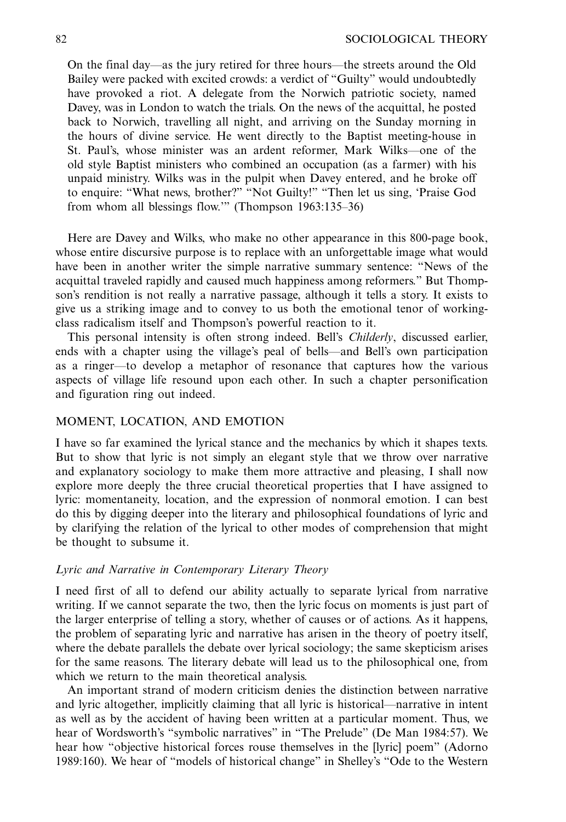On the final day—as the jury retired for three hours—the streets around the Old Bailey were packed with excited crowds: a verdict of "Guilty" would undoubtedly have provoked a riot. A delegate from the Norwich patriotic society, named Davey, was in London to watch the trials. On the news of the acquittal, he posted back to Norwich, travelling all night, and arriving on the Sunday morning in the hours of divine service. He went directly to the Baptist meeting-house in St. Paul's, whose minister was an ardent reformer, Mark Wilks—one of the old style Baptist ministers who combined an occupation (as a farmer) with his unpaid ministry. Wilks was in the pulpit when Davey entered, and he broke off to enquire: "What news, brother?" "Not Guilty!" "Then let us sing, 'Praise God from whom all blessings flow.'" (Thompson 1963:135–36)

Here are Davey and Wilks, who make no other appearance in this 800-page book, whose entire discursive purpose is to replace with an unforgettable image what would have been in another writer the simple narrative summary sentence: "News of the acquittal traveled rapidly and caused much happiness among reformers." But Thompson's rendition is not really a narrative passage, although it tells a story. It exists to give us a striking image and to convey to us both the emotional tenor of workingclass radicalism itself and Thompson's powerful reaction to it.

This personal intensity is often strong indeed. Bell's *Childerly*, discussed earlier, ends with a chapter using the village's peal of bells—and Bell's own participation as a ringer—to develop a metaphor of resonance that captures how the various aspects of village life resound upon each other. In such a chapter personification and figuration ring out indeed.

### MOMENT, LOCATION, AND EMOTION

I have so far examined the lyrical stance and the mechanics by which it shapes texts. But to show that lyric is not simply an elegant style that we throw over narrative and explanatory sociology to make them more attractive and pleasing, I shall now explore more deeply the three crucial theoretical properties that I have assigned to lyric: momentaneity, location, and the expression of nonmoral emotion. I can best do thisby digging deeper into the literary and philosophical foundationsof lyric and by clarifying the relation of the lyrical to other modesof comprehension that might be thought to subsume it.

#### *Lyric and Narrative in Contemporary Literary Theory*

I need first of all to defend our ability actually to separate lyrical from narrative writing. If we cannot separate the two, then the lyric focus on moments is just part of the larger enterprise of telling a story, whether of causes or of actions. As it happens, the problem of separating lyric and narrative has arisen in the theory of poetry itself, where the debate parallels the debate over lyrical sociology; the same skepticism arises for the same reasons. The literary debate will lead us to the philosophical one, from which we return to the main theoretical analysis.

An important strand of modern criticism denies the distinction between narrative and lyric altogether, implicitly claiming that all lyric is historical—narrative in intent aswell asby the accident of having been written at a particular moment. Thus, we hear of Wordsworth's "symbolic narratives" in "The Prelude" (De Man 1984:57). We hear how "objective historical forces rouse themselves in the [lyric] poem" (Adorno 1989:160). We hear of "models of historical change" in Shelley's "Ode to the Western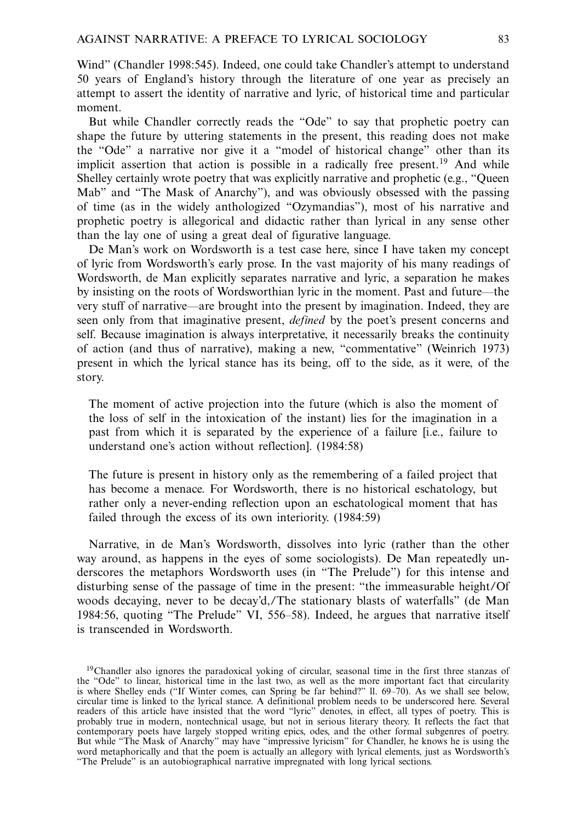Wind" (Chandler 1998:545). Indeed, one could take Chandler's attempt to understand 50 years of England's history through the literature of one year as precisely an attempt to assert the identity of narrative and lyric, of historical time and particular moment.

But while Chandler correctly reads the "Ode" to say that prophetic poetry can shape the future by uttering statements in the present, this reading does not make the "Ode" a narrative nor give it a "model of historical change" other than its implicit assertion that action is possible in a radically free present.<sup>19</sup> And while Shelley certainly wrote poetry that was explicitly narrative and prophetic (e.g., "Oueen Mab" and "The Mask of Anarchy"), and was obviously obsessed with the passing of time (asin the widely anthologized "Ozymandias"), most of hisnarrative and prophetic poetry is allegorical and didactic rather than lyrical in any sense other than the lay one of using a great deal of figurative language.

De Man's work on Wordsworth is a test case here, since I have taken my concept of lyric from Wordsworth's early prose. In the vast majority of his many readings of Wordsworth, de Man explicitly separates narrative and lyric, a separation he makes by insisting on the roots of Wordsworthian lyric in the moment. Past and future—the very stuff of narrative—are brought into the present by imagination. Indeed, they are seen only from that imaginative present, *defined* by the poet's present concerns and self. Because imagination is always interpretative, it necessarily breaks the continuity of action (and thus of narrative), making a new, "commentative" (Weinrich 1973) present in which the lyrical stance has its being, off to the side, as it were, of the story.

The moment of active projection into the future (which is also the moment of the loss of self in the intoxication of the instant) lies for the imagination in a past from which it is separated by the experience of a failure [i.e., failure to understand one's action without reflection]. (1984:58)

The future is present in history only as the remembering of a failed project that has become a menace. For Wordsworth, there is no historical eschatology, but rather only a never-ending reflection upon an eschatological moment that has failed through the excess of its own interiority. (1984:59)

Narrative, in de Man's Wordsworth, dissolves into lyric (rather than the other way around, as happens in the eyes of some sociologists). De Man repeatedly underscores the metaphors Wordsworth uses (in "The Prelude") for this intense and disturbing sense of the passage of time in the present: "the immeasurable height/Of woods decaying, never to be decay'd,/The stationary blasts of waterfalls" (de Man 1984:56, quoting "The Prelude" VI, 556–58). Indeed, he arguesthat narrative itself is transcended in Wordsworth.

<sup>&</sup>lt;sup>19</sup>Chandler also ignores the paradoxical yoking of circular, seasonal time in the first three stanzas of the "Ode" to linear, historical time in the last two, as well as the more important fact that circularity is where Shelley ends ("If Winter comes, can Spring be far behind?" ll. 69–70). As we shall see below, circular time is linked to the lyrical stance. A definitional problem needs to be underscored here. Several readers of this article have insisted that the word "lyric" denotes, in effect, all types of poetry. This is probably true in modern, nontechnical usage, but not in serious literary theory. It reflects the fact that contemporary poets have largely stopped writing epics, odes, and the other formal subgenres of poetry. But while "The Mask of Anarchy" may have "impressive lyricism" for Chandler, he knows he is using the word metaphorically and that the poem is actually an allegory with lyrical elements, just as Wordsworth's "The Prelude" isan autobiographical narrative impregnated with long lyrical sections.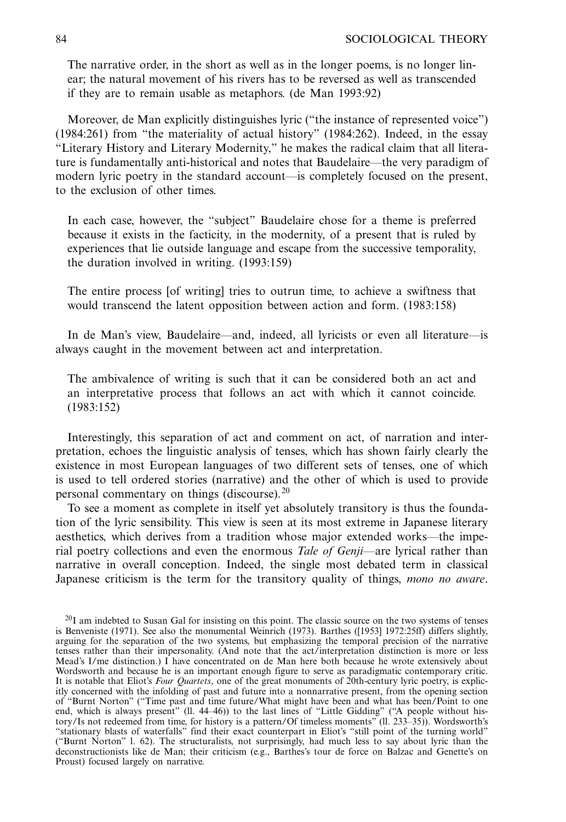The narrative order, in the short as well as in the longer poems, is no longer linear; the natural movement of his rivers has to be reversed as well as transcended if they are to remain usable as metaphors. (de Man 1993:92)

Moreover, de Man explicitly distinguishes lyric ("the instance of represented voice") (1984:261) from "the materiality of actual history" (1984:262). Indeed, in the essay "Literary History and Literary Modernity," he makes the radical claim that all literature is fundamentally anti-historical and notes that Baudelaire—the very paradigm of modern lyric poetry in the standard account—is completely focused on the present, to the exclusion of other times.

In each case, however, the "subject" Baudelaire chose for a theme is preferred because it exists in the facticity, in the modernity, of a present that is ruled by experiences that lie outside language and escape from the successive temporality, the duration involved in writing. (1993:159)

The entire process [of writing] tries to outrun time, to achieve a swiftness that would transcend the latent opposition between action and form. (1983:158)

In de Man's view, Baudelaire—and, indeed, all lyricists or even all literature—is always caught in the movement between act and interpretation.

The ambivalence of writing is such that it can be considered both an act and an interpretative process that follows an act with which it cannot coincide. (1983:152)

Interestingly, this separation of act and comment on act, of narration and interpretation, echoes the linguistic analysis of tenses, which has shown fairly clearly the existence in most European languages of two different sets of tenses, one of which is used to tell ordered stories (narrative) and the other of which is used to provide personal commentary on things (discourse).<sup>20</sup>

To see a moment as complete in itself yet absolutely transitory is thus the foundation of the lyric sensibility. This view is seen at its most extreme in Japanese literary aesthetics, which derives from a tradition whose major extended works—the imperial poetry collectionsand even the enormous *Tale of Genji*—are lyrical rather than narrative in overall conception. Indeed, the single most debated term in classical Japanese criticism is the term for the transitory quality of things, *mono no aware*.

 $^{20}$ I am indebted to Susan Gal for insisting on this point. The classic source on the two systems of tenses is Benveniste (1971). See also the monumental Weinrich (1973). Barthes ([1953] 1972:25ff) differs slightly, arguing for the separation of the two systems, but emphasizing the temporal precision of the narrative tenses rather than their impersonality. (And note that the act/interpretation distinction is more or less Mead's I/me distinction.) I have concentrated on de Man here both because he wrote extensively about Wordsworth and because he is an important enough figure to serve as paradigmatic contemporary critic. It is notable that Eliot's *Four Quartets*, one of the great monuments of 20th-century lyric poetry, is explicitly concerned with the infolding of past and future into a nonnarrative present, from the opening section of "Burnt Norton" ("Time past and time future/What might have been and what has been/Point to one end, which is always present" (ll. 44–46)) to the last lines of "Little Gidding" ("A people without history/Is not redeemed from time, for history is a pattern/Of timeless moments" (ll. 233–35)). Wordsworth's "stationary blasts of waterfalls" find their exact counterpart in Eliot's "still point of the turning world" ("Burnt Norton" l. 62). The structuralists, not surprisingly, had much less to say about lyric than the deconstructionists like de Man; their criticism (e.g., Barthes's tour de force on Balzac and Genette's on Proust) focused largely on narrative.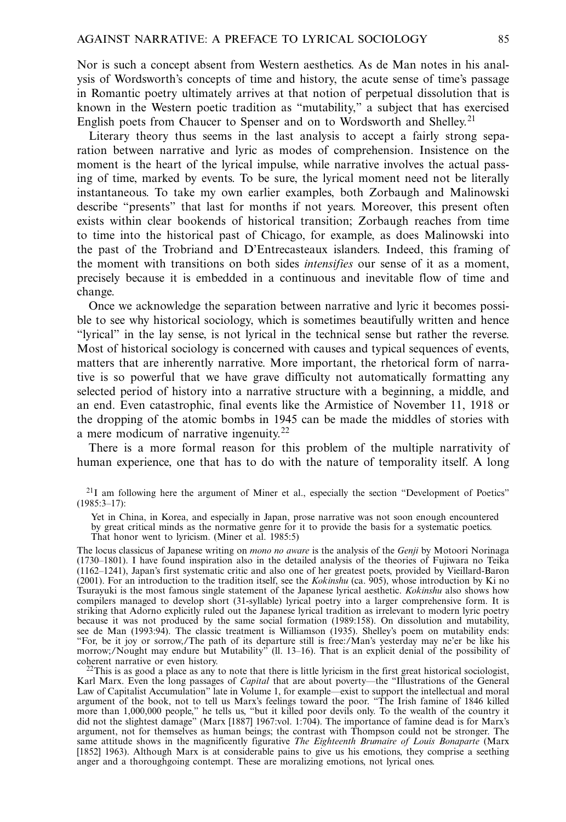Nor is such a concept absent from Western aesthetics. As de Man notes in his analysis of Wordsworth's concepts of time and history, the acute sense of time's passage in Romantic poetry ultimately arrives at that notion of perpetual dissolution that is known in the Western poetic tradition as "mutability," a subject that has exercised English poets from Chaucer to Spenser and on to Wordsworth and Shelley.<sup>21</sup>

Literary theory thus seems in the last analysis to accept a fairly strong separation between narrative and lyric as modes of comprehension. Insistence on the moment is the heart of the lyrical impulse, while narrative involves the actual passing of time, marked by events. To be sure, the lyrical moment need not be literally instantaneous. To take my own earlier examples, both Zorbaugh and Malinowski describe "presents" that last for months if not years. Moreover, this present often exists within clear bookends of historical transition; Zorbaugh reaches from time to time into the historical past of Chicago, for example, as does Malinowski into the past of the Trobriand and D'Entrecasteaux islanders. Indeed, this framing of the moment with transitions on both sides *intensifies* our sense of it as a moment, precisely because it is embedded in a continuous and inevitable flow of time and change.

Once we acknowledge the separation between narrative and lyric it becomes possible to see why historical sociology, which is sometimes beautifully written and hence "lyrical" in the lay sense, is not lyrical in the technical sense but rather the reverse. Most of historical sociology is concerned with causes and typical sequences of events, matters that are inherently narrative. More important, the rhetorical form of narrative isso powerful that we have grave difficulty not automatically formatting any selected period of history into a narrative structure with a beginning, a middle, and an end. Even catastrophic, final events like the Armistice of November 11, 1918 or the dropping of the atomic bombs in 1945 can be made the middles of stories with a mere modicum of narrative ingenuity.<sup>22</sup>

There is a more formal reason for this problem of the multiple narrativity of human experience, one that has to do with the nature of temporality itself. A long

Yet in China, in Korea, and especially in Japan, prose narrative was not soon enough encountered by great critical minds as the normative genre for it to provide the basis for a systematic poetics. That honor went to lyricism. (Miner et al. 1985:5)

The locus classicus of Japanese writing on *mono no aware* isthe analysisof the *Genji* by Motoori Norinaga (1730–1801). I have found inspiration also in the detailed analysis of the theories of Fujiwara no Teika (1162–1241), Japan's first systematic critic and also one of her greatest poets, provided by Vieillard-Baron (2001). For an introduction to the tradition itself, see the *Kokinshu* (ca. 905), whose introduction by Ki no Tsurayuki is the most famous single statement of the Japanese lyrical aesthetic. *Kokinshu* also shows how compilers managed to develop short (31-syllable) lyrical poetry into a larger comprehensive form. It is striking that Adorno explicitly ruled out the Japanese lyrical tradition as irrelevant to modern lyric poetry because it was not produced by the same social formation (1989:158). On dissolution and mutability, see de Man (1993:94). The classic treatment is Williamson (1935). Shelley's poem on mutability ends: "For, be it joy or sorrow,/The path of its departure still is free:/Man's yesterday may ne'er be like his morrow;/Nought may endure but Mutability" (ll. 13–16). That is an explicit denial of the possibility of coherent narrative or even history.<br><sup>22</sup>This is as good a place as any to note that there is little lyricism in the first great historical sociologist,

Karl Marx. Even the long passages of *Capital* that are about poverty—the "Illustrations of the General Law of Capitalist Accumulation" late in Volume 1, for example—exist to support the intellectual and moral argument of the book, not to tell us Marx's feelings toward the poor. "The Irish famine of 1846 killed more than 1,000,000 people," he tellsus, "but it killed poor devilsonly. To the wealth of the country it did not the slightest damage" (Marx [1887] 1967:vol. 1:704). The importance of famine dead is for Marx's argument, not for themselves as human beings; the contrast with Thompson could not be stronger. The same attitude shows in the magnificently figurative *The Eighteenth Brumaire of Louis Bonaparte* (Marx [1852] 1963). Although Marx is at considerable pains to give us his emotions, they comprise a seething anger and a thoroughgoing contempt. These are moralizing emotions, not lyrical ones.

 $2^{1}$ I am following here the argument of Miner et al., especially the section "Development of Poetics" (1985:3–17):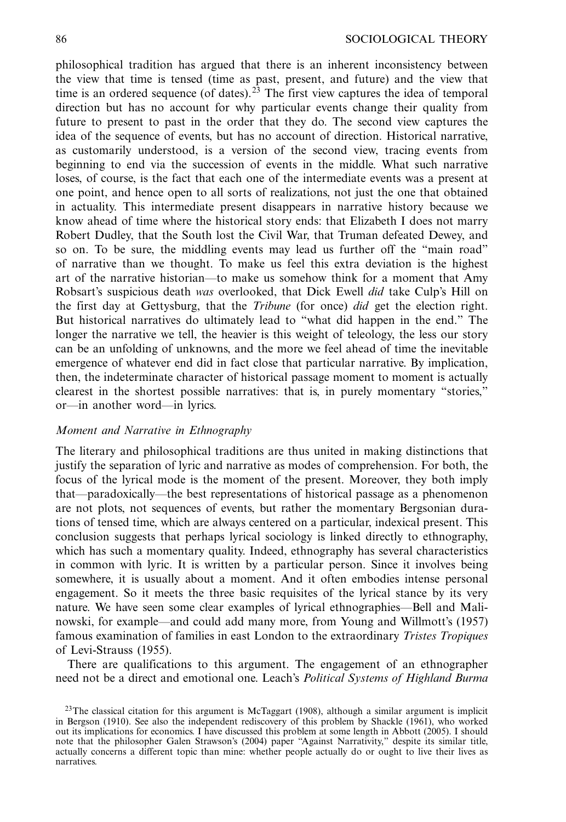philosophical tradition has argued that there is an inherent inconsistency between the view that time is tensed (time as past, present, and future) and the view that time is an ordered sequence (of dates).<sup>23</sup> The first view captures the idea of temporal direction but has no account for why particular events change their quality from future to present to past in the order that they do. The second view captures the idea of the sequence of events, but has no account of direction. Historical narrative, as customarily understood, is a version of the second view, tracing events from beginning to end via the succession of events in the middle. What such narrative loses, of course, is the fact that each one of the intermediate events was a present at one point, and hence open to all sorts of realizations, not just the one that obtained in actuality. This intermediate present disappears in narrative history because we know ahead of time where the historical story ends: that Elizabeth I does not marry Robert Dudley, that the South lost the Civil War, that Truman defeated Dewey, and so on. To be sure, the middling events may lead us further off the "main road" of narrative than we thought. To make usfeel thisextra deviation isthe highest art of the narrative historian—to make us somehow think for a moment that Amy Robsart's suspicious death *was* overlooked, that Dick Ewell *did* take Culp's Hill on the first day at Gettysburg, that the *Tribune* (for once) *did* get the election right. But historical narratives do ultimately lead to "what did happen in the end." The longer the narrative we tell, the heavier is this weight of teleology, the less our story can be an unfolding of unknowns, and the more we feel ahead of time the inevitable emergence of whatever end did in fact close that particular narrative. By implication, then, the indeterminate character of historical passage moment to moment is actually clearest in the shortest possible narratives: that is, in purely momentary "stories," or—in another word—in lyrics.

## *Moment and Narrative in Ethnography*

The literary and philosophical traditions are thus united in making distinctions that justify the separation of lyric and narrative as modes of comprehension. For both, the focus of the lyrical mode is the moment of the present. Moreover, they both imply that—paradoxically—the best representations of historical passage as a phenomenon are not plots, not sequences of events, but rather the momentary Bergsonian durations of tensed time, which are always centered on a particular, indexical present. This conclusion suggests that perhaps lyrical sociology is linked directly to ethnography, which has such a momentary quality. Indeed, ethnography has several characteristics in common with lyric. It is written by a particular person. Since it involves being somewhere, it is usually about a moment. And it often embodies intense personal engagement. So it meets the three basic requisites of the lyrical stance by its very nature. We have seen some clear examples of lyrical ethnographies—Bell and Malinowski, for example—and could add many more, from Young and Willmott's (1957) famousexamination of familiesin east London to the extraordinary *Tristes Tropiques* of Levi-Strauss (1955).

There are qualifications to this argument. The engagement of an ethnographer need not be a direct and emotional one. Leach's *Political Systems of Highland Burma*

 $23$ The classical citation for this argument is McTaggart (1908), although a similar argument is implicit in Bergson (1910). See also the independent rediscovery of this problem by Shackle (1961), who worked out its implications for economics. I have discussed this problem at some length in Abbott (2005). I should note that the philosopher Galen Strawson's (2004) paper "Against Narrativity," despite its similar title, actually concerns a different topic than mine: whether people actually do or ought to live their lives as narratives.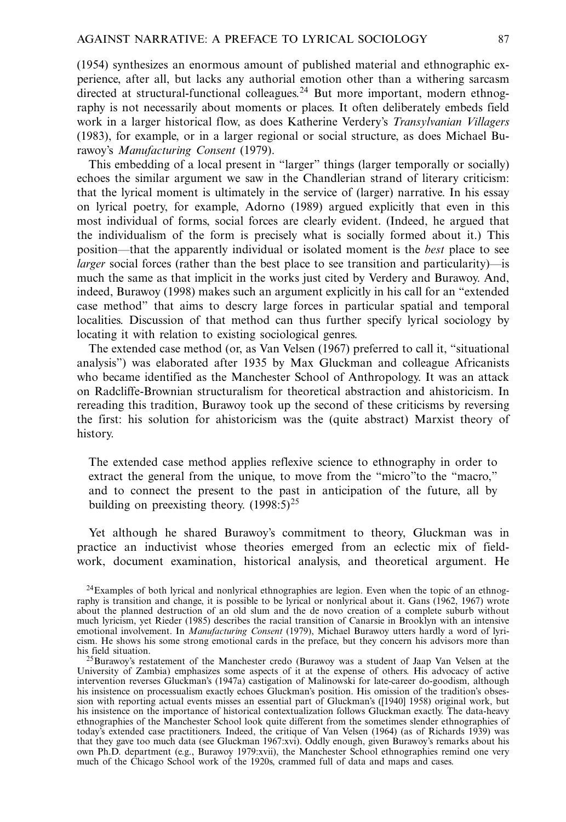(1954) synthesizes an enormous amount of published material and ethnographic experience, after all, but lacks any authorial emotion other than a withering sarcasm  $\frac{d}{dt}$  directed at structural-functional colleagues.<sup>24</sup> But more important, modern ethnography is not necessarily about moments or places. It often deliberately embeds field work in a larger historical flow, as does Katherine Verdery's *Transylvanian Villagers* (1983), for example, or in a larger regional or social structure, as does Michael Burawoy's *Manufacturing Consent* (1979).

This embedding of a local present in "larger" things (larger temporally or socially) echoes the similar argument we saw in the Chandlerian strand of literary criticism: that the lyrical moment is ultimately in the service of (larger) narrative. In his essay on lyrical poetry, for example, Adorno (1989) argued explicitly that even in this most individual of forms, social forces are clearly evident. (Indeed, he argued that the individualism of the form is precisely what is socially formed about it.) This position—that the apparently individual or isolated moment is the *best* place to see *larger* social forces (rather than the best place to see transition and particularity)—is much the same as that implicit in the works just cited by Verdery and Burawoy. And, indeed, Burawoy (1998) makes such an argument explicitly in his call for an "extended case method" that aims to descry large forces in particular spatial and temporal localities. Discussion of that method can thus further specify lyrical sociology by locating it with relation to existing sociological genres.

The extended case method (or, as Van Velsen (1967) preferred to call it, "situational analysis") was elaborated after 1935 by Max Gluckman and colleague Africanists who became identified as the Manchester School of Anthropology. It was an attack on Radcliffe-Brownian structuralism for theoretical abstraction and ahistoricism. In rereading this tradition, Burawoy took up the second of these criticisms by reversing the first: his solution for ahistoricism was the (quite abstract) Marxist theory of history.

The extended case method applies reflexive science to ethnography in order to extract the general from the unique, to move from the "micro"to the "macro," and to connect the present to the past in anticipation of the future, all by building on preexisting theory.  $(1998:5)^{25}$ 

Yet although he shared Burawoy's commitment to theory, Gluckman was in practice an inductivist whose theories emerged from an eclectic mix of fieldwork, document examination, historical analysis, and theoretical argument. He

 $24$ Examples of both lyrical and nonlyrical ethnographies are legion. Even when the topic of an ethnography is transition and change, it is possible to be lyrical or nonlyrical about it. Gans (1962, 1967) wrote about the planned destruction of an old slum and the de novo creation of a complete suburb without much lyricism, yet Rieder (1985) describes the racial transition of Canarsie in Brooklyn with an intensive emotional involvement. In *Manufacturing Consent* (1979), Michael Burawoy uttershardly a word of lyricism. He shows his some strong emotional cards in the preface, but they concern his advisors more than

<sup>&</sup>lt;sup>25</sup>Burawoy's restatement of the Manchester credo (Burawoy was a student of Jaap Van Velsen at the University of Zambia) emphasizes some aspects of it at the expense of others. His advocacy of active intervention reverses Gluckman's (1947a) castigation of Malinowski for late-career do-goodism, although his insistence on processualism exactly echoes Gluckman's position. His omission of the tradition's obsession with reporting actual events misses an essential part of Gluckman's ([1940] 1958) original work, but his insistence on the importance of historical contextualization follows Gluckman exactly. The data-heavy ethnographies of the Manchester School look quite different from the sometimes slender ethnographies of today's extended case practitioners. Indeed, the critique of Van Velsen (1964) (as of Richards 1939) was that they gave too much data (see Gluckman 1967:xvi). Oddly enough, given Burawoy's remarks about his own Ph.D. department (e.g., Burawoy 1979:xvii), the Manchester School ethnographies remind one very much of the Chicago School work of the 1920s, crammed full of data and maps and cases.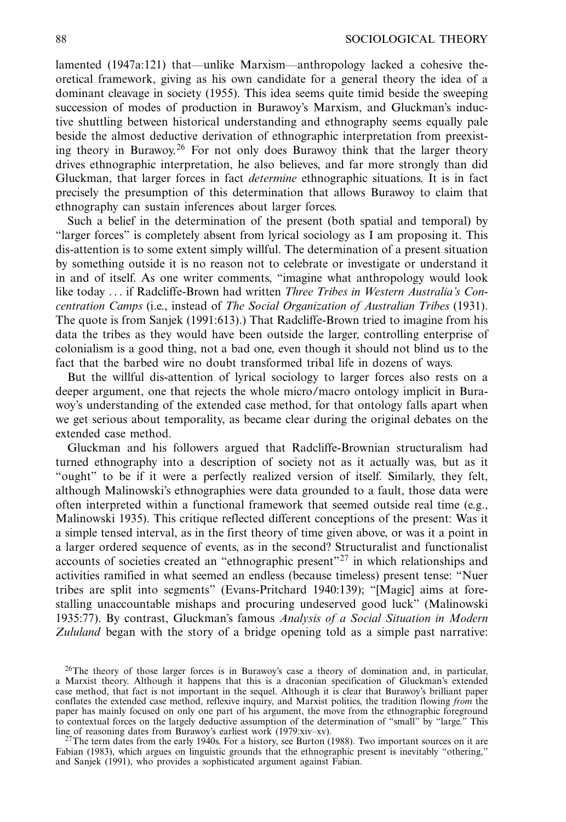lamented (1947a:121) that—unlike Marxism—anthropology lacked a cohesive theoretical framework, giving ashisown candidate for a general theory the idea of a dominant cleavage in society (1955). This idea seems quite timid beside the sweeping succession of modes of production in Burawoy's Marxism, and Gluckman's inductive shuttling between historical understanding and ethnography seems equally pale beside the almost deductive derivation of ethnographic interpretation from preexisting theory in Burawoy.<sup>26</sup> For not only does Burawoy think that the larger theory drives ethnographic interpretation, he also believes, and far more strongly than did Gluckman, that larger forcesin fact *determine* ethnographic situations. It is in fact precisely the presumption of this determination that allows Burawoy to claim that ethnography can sustain inferences about larger forces.

Such a belief in the determination of the present (both spatial and temporal) by "larger forces" is completely absent from lyrical sociology as I am proposing it. This dis-attention is to some extent simply willful. The determination of a present situation by something outside it is no reason not to celebrate or investigate or understand it in and of itself. As one writer comments, "imagine what anthropology would look like today ... if Radcliffe-Brown had written *Three Tribes in Western Australia's Concentration Camps* (i.e., instead of *The Social Organization of Australian Tribes* (1931). The quote isfrom Sanjek (1991:613).) That Radcliffe-Brown tried to imagine from his data the tribes as they would have been outside the larger, controlling enterprise of colonialism is a good thing, not a bad one, even though it should not blind us to the fact that the barbed wire no doubt transformed tribal life in dozens of ways.

But the willful dis-attention of lyrical sociology to larger forces also rests on a deeper argument, one that rejects the whole micro/macro ontology implicit in Burawoy's understanding of the extended case method, for that ontology falls apart when we get serious about temporality, as became clear during the original debates on the extended case method.

Gluckman and his followers argued that Radcliffe-Brownian structuralism had turned ethnography into a description of society not as it actually was, but as it "ought" to be if it were a perfectly realized version of itself. Similarly, they felt, although Malinowski's ethnographies were data grounded to a fault, those data were often interpreted within a functional framework that seemed outside real time (e.g., Malinowski 1935). This critique reflected different conceptions of the present: Was it a simple tensed interval, as in the first theory of time given above, or was it a point in a larger ordered sequence of events, as in the second? Structuralist and functionalist accounts of societies created an "ethnographic present"<sup>27</sup> in which relationships and activities ramified in what seemed an endless (because timeless) present tense: "Nuer tribes are split into segments" (Evans-Pritchard 1940:139); "[Magic] aims at forestalling unaccountable mishaps and procuring undeserved good luck" (Malinowski 1935:77). By contrast, Gluckman's famous *Analysis of a Social Situation in Modern Zululand* began with the story of a bridge opening told as a simple past narrative:

<sup>&</sup>lt;sup>26</sup>The theory of those larger forces is in Burawoy's case a theory of domination and, in particular, a Marxist theory. Although it happens that this is a draconian specification of Gluckman's extended case method, that fact is not important in the sequel. Although it is clear that Burawoy's brilliant paper conflates the extended case method, reflexive inquiry, and Marxist politics, the tradition flowing *from* the paper has mainly focused on only one part of his argument, the move from the ethnographic foreground to contextual forces on the largely deductive assumption of the determination of "small" by "large." This line of reasoning dates from Burawoy's earliest work (1979:xiv-xv).

The term dates from the early 1940s. For a history, see Burton (1988). Two important sources on it are Fabian (1983), which argues on linguistic grounds that the ethnographic present is inevitably "othering," and Sanjek (1991), who provides a sophisticated argument against Fabian.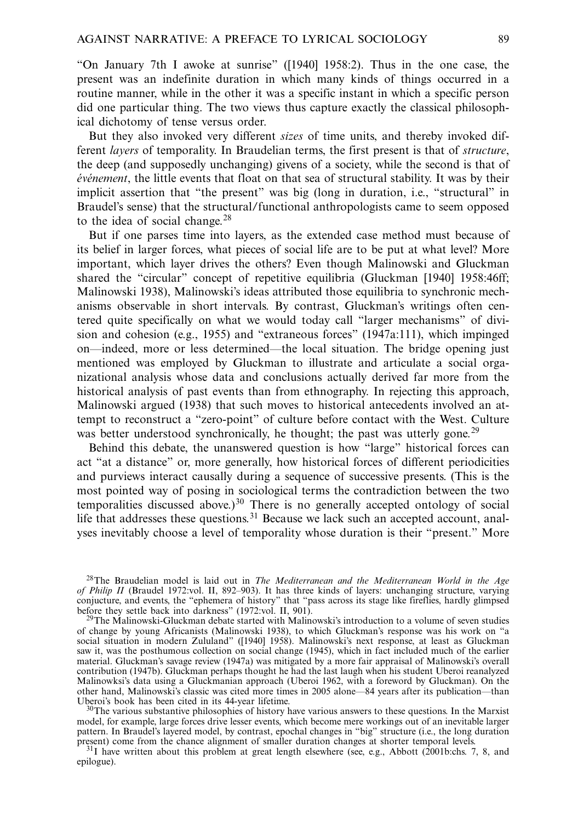"On January 7th I awoke at sunrise" ([1940] 1958:2). Thus in the one case, the present was an indefinite duration in which many kinds of things occurred in a routine manner, while in the other it was a specific instant in which a specific person did one particular thing. The two views thus capture exactly the classical philosophical dichotomy of tense versus order.

But they also invoked very different *sizes* of time units, and thereby invoked different *layers* of temporality. In Braudelian terms, the first present is that of *structure*, the deep (and supposedly unchanging) givens of a society, while the second is that of *événement*, the little events that float on that sea of structural stability. It was by their implicit assertion that "the present" was big (long in duration, i.e., "structural" in Braudel's sense) that the structural/functional anthropologists came to seem opposed to the idea of social change. $28$ 

But if one parses time into layers, as the extended case method must because of its belief in larger forces, what pieces of social life are to be put at what level? More important, which layer drives the others? Even though Malinowski and Gluckman shared the "circular" concept of repetitive equilibria (Gluckman [1940] 1958:46ff; Malinowski 1938), Malinowski's ideas attributed those equilibria to synchronic mechanisms observable in short intervals. By contrast, Gluckman's writings often centered quite specifically on what we would today call "larger mechanisms" of division and cohesion (e.g., 1955) and "extraneous forces" (1947a:111), which impinged on—indeed, more or less determined—the local situation. The bridge opening just mentioned was employed by Gluckman to illustrate and articulate a social organizational analysis whose data and conclusions actually derived far more from the historical analysis of past events than from ethnography. In rejecting this approach, Malinowski argued (1938) that such moves to historical antecedents involved an attempt to reconstruct a "zero-point" of culture before contact with the West. Culture was better understood synchronically, he thought; the past was utterly gone.<sup>29</sup>

Behind this debate, the unanswered question is how "large" historical forces can act "at a distance" or, more generally, how historical forces of different periodicities and purviews interact causally during a sequence of successive presents. (This is the most pointed way of posing in sociological terms the contradiction between the two temporalities discussed above.) $30$  There is no generally accepted ontology of social life that addresses these questions.<sup>31</sup> Because we lack such an accepted account, analyses inevitably choose a level of temporality whose duration is their "present." More

28The Braudelian model islaid out in *The Mediterranean and the Mediterranean World in the Age of Philip II* (Braudel 1972:vol. II, 892–903). It has three kinds of layers: unchanging structure, varying conjucture, and events, the "ephemera of history" that "pass across its stage like fireflies, hardly glimpsed<br>before they settle back into darkness" (1972:vol. II, 901).

 $^{29}$ The Malinowski-Gluckman debate started with Malinowski's introduction to a volume of seven studies of change by young Africanists (Malinowski 1938), to which Gluckman's response was his work on "a social situation in modern Zululand" ([1940] 1958). Malinowski's next response, at least as Gluckman saw it, was the posthumous collection on social change (1945), which in fact included much of the earlier material. Gluckman's savage review (1947a) was mitigated by a more fair appraisal of Malinowski's overall contribution (1947b). Gluckman perhaps thought he had the last laugh when his student Uberoi reanalyzed Malinowksi's data using a Gluckmanian approach (Uberoi 1962, with a foreword by Gluckman). On the other hand, Malinowski's classic was cited more times in 2005 alone—84 years after its publication—than

 $^{30}$ The various substantive philosophies of history have various answers to these questions. In the Marxist model, for example, large forces drive lesser events, which become mere workings out of an inevitable larger pattern. In Braudel's layered model, by contrast, epochal changes in "big" structure (i.e., the long duration present) come from the chance alignment of smaller duration changes at shorter temporal levels.

 $31$ I have written about this problem at great length elsewhere (see, e.g., Abbott (2001b:chs. 7, 8, and epilogue).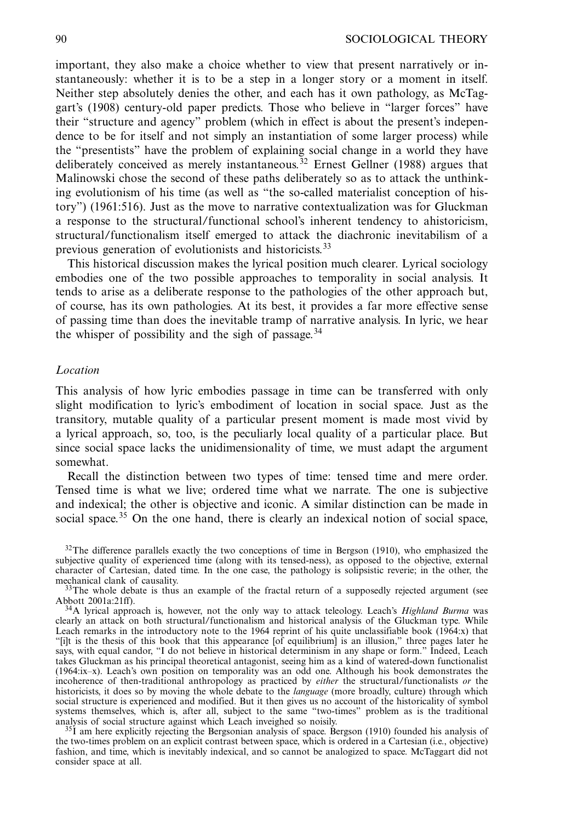important, they also make a choice whether to view that present narratively or instantaneously: whether it is to be a step in a longer story or a moment in itself. Neither step absolutely denies the other, and each has it own pathology, as McTaggart's (1908) century-old paper predicts. Those who believe in "larger forces" have their "structure and agency" problem (which in effect is about the present's independence to be for itself and not simply an instantiation of some larger process) while the "presentists" have the problem of explaining social change in a world they have deliberately conceived as merely instantaneous.<sup>32</sup> Ernest Gellner (1988) argues that Malinowski chose the second of these paths deliberately so as to attack the unthinking evolutionism of his time (as well as "the so-called materialist conception of history") (1961:516). Just asthe move to narrative contextualization wasfor Gluckman a response to the structural/functional school's inherent tendency to ahistoricism, structural/functionalism itself emerged to attack the diachronic inevitabilism of a previous generation of evolutionists and historicists.<sup>33</sup>

This historical discussion makes the lyrical position much clearer. Lyrical sociology embodies one of the two possible approaches to temporality in social analysis. It tends to arise as a deliberate response to the pathologies of the other approach but, of course, hasitsown pathologies. At itsbest, it providesa far more effective sense of passing time than does the inevitable tramp of narrative analysis. In lyric, we hear the whisper of possibility and the sigh of passage.  $34$ 

#### *Location*

This analysis of how lyric embodies passage in time can be transferred with only slight modification to lyric's embodiment of location in social space. Just as the transitory, mutable quality of a particular present moment is made most vivid by a lyrical approach, so, too, is the peculiarly local quality of a particular place. But since social space lacks the unidimensionality of time, we must adapt the argument somewhat.

Recall the distinction between two types of time: tensed time and mere order. Tensed time iswhat we live; ordered time what we narrate. The one issubjective and indexical; the other is objective and iconic. A similar distinction can be made in social space.<sup>35</sup> On the one hand, there is clearly an indexical notion of social space,

 $32$ The difference parallels exactly the two conceptions of time in Bergson (1910), who emphasized the subjective quality of experienced time (along with its tensed-ness), as opposed to the objective, external character of Cartesian, dated time. In the one case, the pathology is solipsistic reverie; in the other, the

 $33$ The whole debate is thus an example of the fractal return of a supposedly rejected argument (see Abbott 2001a:21ff).<br><sup>34</sup>A lyrical approach is, however, not the only way to attack teleology. Leach's *Highland Burma* was

clearly an attack on both structural/functionalism and historical analysis of the Gluckman type. While Leach remarks in the introductory note to the 1964 reprint of his quite unclassifiable book (1964:x) that "[i]t isthe thesisof thisbook that thisappearance [of equilibrium] isan illusion," three pageslater he says, with equal candor, "I do not believe in historical determinism in any shape or form." Indeed, Leach takes Gluckman as his principal theoretical antagonist, seeing him as a kind of watered-down functionalist  $(1964:x-x)$ . Leach's own position on temporality was an odd one. Although his book demonstrates the incoherence of then-traditional anthropology as practiced by *either* the structural/functionalists *or* the historicists, it does so by moving the whole debate to the *language* (more broadly, culture) through which social structure is experienced and modified. But it then gives us no account of the historicality of symbol systems themselves, which is, after all, subject to the same "two-times" problem as is the traditional analysis of social structure against which Leach inveighed so noisily.

 $35$ I am here explicitly rejecting the Bergsonian analysis of space. Bergson (1910) founded his analysis of the two-times problem on an explicit contrast between space, which is ordered in a Cartesian (i.e., objective) fashion, and time, which is inevitably indexical, and so cannot be analogized to space. McTaggart did not consider space at all.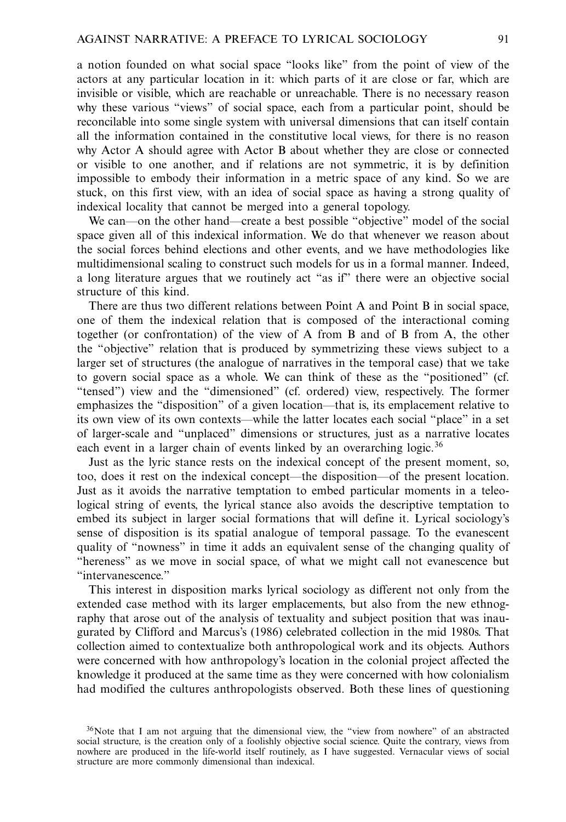a notion founded on what social space "looks like" from the point of view of the actors at any particular location in it: which parts of it are close or far, which are invisible or visible, which are reachable or unreachable. There is no necessary reason why these various "views" of social space, each from a particular point, should be reconcilable into some single system with universal dimensions that can itself contain all the information contained in the constitutive local views, for there is no reason why Actor A should agree with Actor B about whether they are close or connected or visible to one another, and if relations are not symmetric, it is by definition impossible to embody their information in a metric space of any kind. So we are stuck, on this first view, with an idea of social space as having a strong quality of indexical locality that cannot be merged into a general topology.

We can—on the other hand—create a best possible "objective" model of the social space given all of this indexical information. We do that whenever we reason about the social forces behind elections and other events, and we have methodologies like multidimensional scaling to construct such models for us in a formal manner. Indeed, a long literature argues that we routinely act "as if" there were an objective social structure of this kind.

There are thus two different relations between Point A and Point B in social space, one of them the indexical relation that iscomposed of the interactional coming together (or confrontation) of the view of A from B and of B from A, the other the "objective" relation that is produced by symmetrizing these views subject to a larger set of structures (the analogue of narratives in the temporal case) that we take to govern social space as a whole. We can think of these as the "positioned" (cf. "tensed") view and the "dimensioned" (cf. ordered) view, respectively. The former emphasizes the "disposition" of a given location—that is, its emplacement relative to its own view of its own contexts—while the latter locates each social "place" in a set of larger-scale and "unplaced" dimensions or structures, just as a narrative locates each event in a larger chain of events linked by an overarching logic.<sup>36</sup>

Just as the lyric stance rests on the indexical concept of the present moment, so, too, does it rest on the indexical concept—the disposition—of the present location. Just as it avoids the narrative temptation to embed particular moments in a teleological string of events, the lyrical stance also avoids the descriptive temptation to embed its subject in larger social formations that will define it. Lyrical sociology's sense of disposition is its spatial analogue of temporal passage. To the evanescent quality of "nowness" in time it adds an equivalent sense of the changing quality of "hereness" as we move in social space, of what we might call not evanescence but "intervanescence."

This interest in disposition marks lyrical sociology as different not only from the extended case method with its larger emplacements, but also from the new ethnography that arose out of the analysis of textuality and subject position that was inaugurated by Clifford and Marcus's (1986) celebrated collection in the mid 1980s. That collection aimed to contextualize both anthropological work and itsobjects. Authors were concerned with how anthropology'slocation in the colonial project affected the knowledge it produced at the same time as they were concerned with how colonialism had modified the cultures anthropologists observed. Both these lines of questioning

<sup>&</sup>lt;sup>36</sup>Note that I am not arguing that the dimensional view, the "view from nowhere" of an abstracted social structure, is the creation only of a foolishly objective social science. Quite the contrary, views from nowhere are produced in the life-world itself routinely, as I have suggested. Vernacular views of social structure are more commonly dimensional than indexical.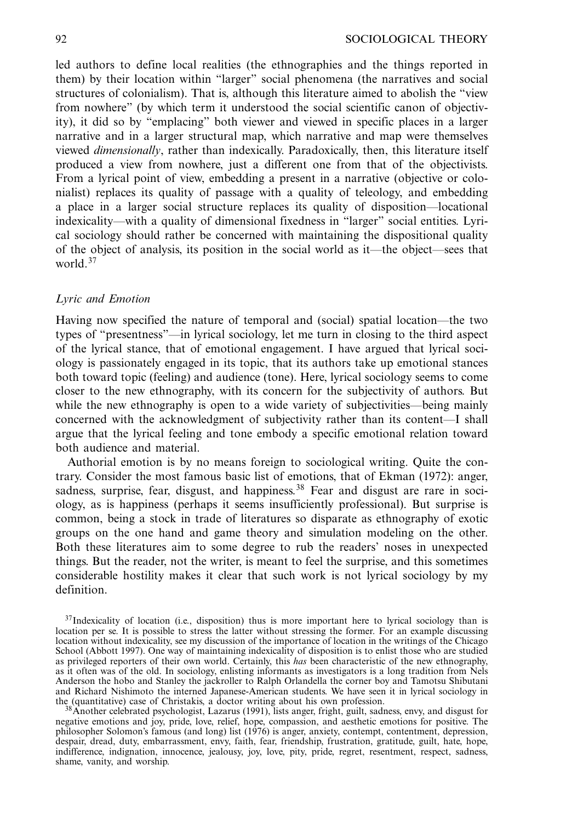led authors to define local realities (the ethnographies and the things reported in them) by their location within "larger" social phenomena (the narratives and social structures of colonialism). That is, although this literature aimed to abolish the "view from nowhere" (by which term it understood the social scientific canon of objectivity), it did so by "emplacing" both viewer and viewed in specific places in a larger narrative and in a larger structural map, which narrative and map were themselves viewed *dimensionally*, rather than indexically. Paradoxically, then, thisliterature itself produced a view from nowhere, just a different one from that of the objectivists. From a lyrical point of view, embedding a present in a narrative (objective or colonialist) replaces its quality of passage with a quality of teleology, and embedding a place in a larger social structure replaces its quality of disposition—locational indexicality—with a quality of dimensional fixedness in "larger" social entities. Lyrical sociology should rather be concerned with maintaining the dispositional quality of the object of analysis, its position in the social world as it—the object—sees that world.<sup>37</sup>

### *Lyric and Emotion*

Having now specified the nature of temporal and (social) spatial location—the two types of "presentness"—in lyrical sociology, let me turn in closing to the third aspect of the lyrical stance, that of emotional engagement. I have argued that lyrical sociology ispassionately engaged in itstopic, that itsauthorstake up emotional stances both toward topic (feeling) and audience (tone). Here, lyrical sociology seems to come closer to the new ethnography, with its concern for the subjectivity of authors. But while the new ethnography is open to a wide variety of subjectivities—being mainly concerned with the acknowledgment of subjectivity rather than its content—I shall argue that the lyrical feeling and tone embody a specific emotional relation toward both audience and material.

Authorial emotion isby no meansforeign to sociological writing. Quite the contrary. Consider the most famous basic list of emotions, that of Ekman (1972): anger, sadness, surprise, fear, disgust, and happiness.<sup>38</sup> Fear and disgust are rare in sociology, as is happiness (perhaps it seems insufficiently professional). But surprise is common, being a stock in trade of literatures so disparate as ethnography of exotic groups on the one hand and game theory and simulation modeling on the other. Both these literatures aim to some degree to rub the readers' noses in unexpected things. But the reader, not the writer, is meant to feel the surprise, and this sometimes considerable hostility makes it clear that such work is not lyrical sociology by my definition.

 $37$ Indexicality of location (i.e., disposition) thus is more important here to lyrical sociology than is location per se. It is possible to stress the latter without stressing the former. For an example discussing location without indexicality, see my discussion of the importance of location in the writings of the Chicago School (Abbott 1997). One way of maintaining indexicality of disposition is to enlist those who are studied as privileged reporters of their own world. Certainly, this *has* been characteristic of the new ethnography, as it often was of the old. In sociology, enlisting informants as investigators is a long tradition from Nels Anderson the hobo and Stanley the jackroller to Ralph Orlandella the corner boy and Tamotsu Shibutani and Richard Nishimoto the interned Japanese-American students. We have seen it in lyrical sociology in the (quantitative) case of Christakis, a doctor writing about his own profession.

the (quantitative) case of Christakis, a doctor writing about his own profession. 38Another celebrated psychologist, Lazarus (1991), lists anger, fright, guilt, sadness, envy, and disgust for negative emotions and joy, pride, love, relief, hope, compassion, and aesthetic emotions for positive. The philosopher Solomon's famous (and long) list (1976) is anger, anxiety, contempt, contentment, depression, despair, dread, duty, embarrassment, envy, faith, fear, friendship, frustration, gratitude, guilt, hate, hope, indifference, indignation, innocence, jealousy, joy, love, pity, pride, regret, resentment, respect, sadness, shame, vanity, and worship.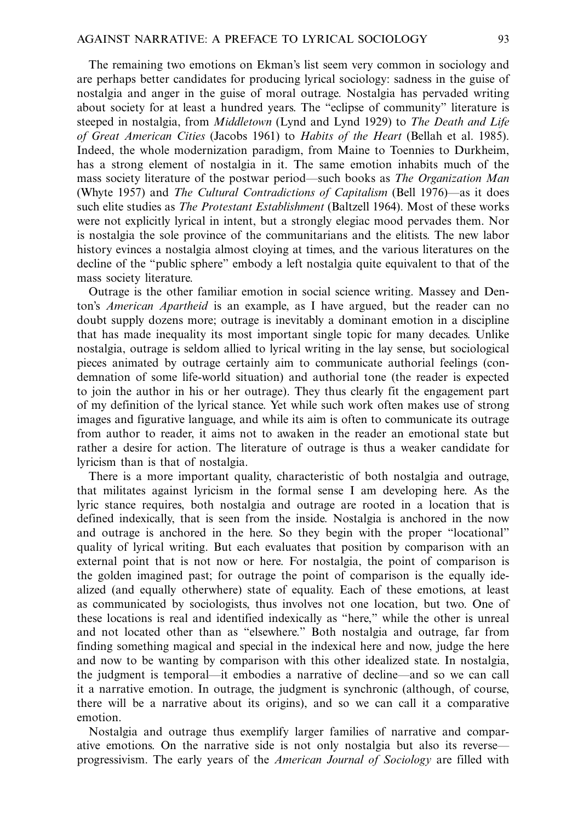The remaining two emotions on Ekman's list seem very common in sociology and are perhaps better candidates for producing lyrical sociology: sadness in the guise of nostalgia and anger in the guise of moral outrage. Nostalgia has pervaded writing about society for at least a hundred years. The "eclipse of community" literature is steeped in nostalgia, from *Middletown* (Lynd and Lynd 1929) to *The Death and Life of Great American Cities* (Jacobs1961) to *Habits of the Heart* (Bellah et al. 1985). Indeed, the whole modernization paradigm, from Maine to Toennies to Durkheim, has a strong element of nostalgia in it. The same emotion inhabits much of the mass society literature of the postwar period—such books as *The Organization Man* (Whyte 1957) and *The Cultural Contradictions of Capitalism* (Bell 1976)—asit does such elite studies as *The Protestant Establishment* (Baltzell 1964). Most of these works were not explicitly lyrical in intent, but a strongly elegiac mood pervades them. Nor is nostalgia the sole province of the communitarians and the elitists. The new labor history evinces a nostalgia almost cloying at times, and the various literatures on the decline of the "public sphere" embody a left nostalgia quite equivalent to that of the mass society literature.

Outrage is the other familiar emotion in social science writing. Massey and Denton's *American Apartheid* is an example, as I have argued, but the reader can no doubt supply dozens more; outrage is inevitably a dominant emotion in a discipline that hasmade inequality itsmost important single topic for many decades. Unlike nostalgia, outrage is seldom allied to lyrical writing in the lay sense, but sociological piecesanimated by outrage certainly aim to communicate authorial feelings(condemnation of some life-world situation) and authorial tone (the reader is expected to join the author in hisor her outrage). They thusclearly fit the engagement part of my definition of the lyrical stance. Yet while such work often makes use of strong images and figurative language, and while its aim is often to communicate its outrage from author to reader, it aims not to awaken in the reader an emotional state but rather a desire for action. The literature of outrage is thus a weaker candidate for lyricism than is that of nostalgia.

There is a more important quality, characteristic of both nostalgia and outrage, that militates against lyricism in the formal sense I am developing here. As the lyric stance requires, both nostalgia and outrage are rooted in a location that is defined indexically, that is seen from the inside. Nostalgia is anchored in the now and outrage is anchored in the here. So they begin with the proper "locational" quality of lyrical writing. But each evaluates that position by comparison with an external point that is not now or here. For nostalgia, the point of comparison is the golden imagined past; for outrage the point of comparison is the equally idealized (and equally otherwhere) state of equality. Each of these emotions, at least as communicated by sociologists, thus involves not one location, but two. One of these locations is real and identified indexically as "here," while the other is unreal and not located other than as "elsewhere." Both nostalgia and outrage, far from finding something magical and special in the indexical here and now, judge the here and now to be wanting by comparison with this other idealized state. In nostalgia, the judgment is temporal—it embodies a narrative of decline—and so we can call it a narrative emotion. In outrage, the judgment is synchronic (although, of course, there will be a narrative about its origins), and so we can call it a comparative emotion.

Nostalgia and outrage thus exemplify larger families of narrative and comparative emotions. On the narrative side is not only nostalgia but also its reverse progressivism. The early years of the *American Journal of Sociology* are filled with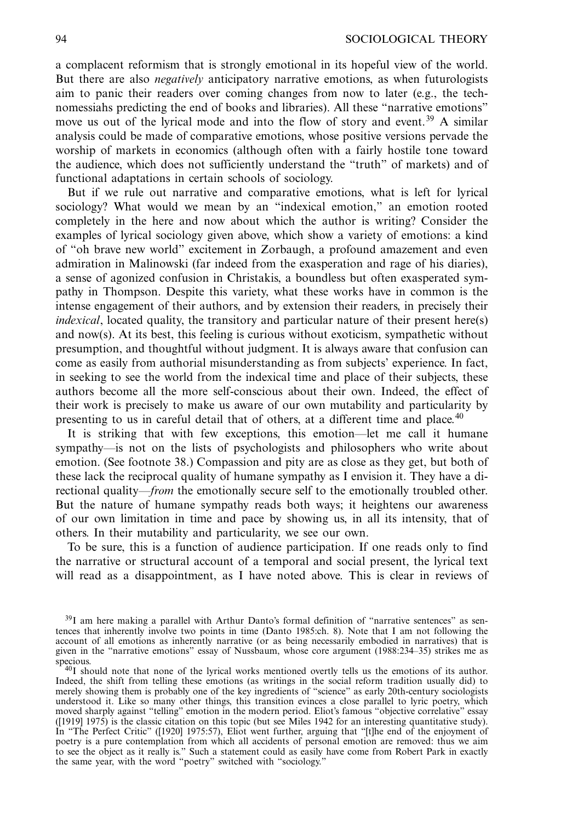a complacent reformism that is strongly emotional in its hopeful view of the world. But there are also *negatively* anticipatory narrative emotions, as when futurologists aim to panic their readers over coming changes from now to later (e.g., the technomessiahs predicting the end of books and libraries). All these "narrative emotions" move us out of the lyrical mode and into the flow of story and event.<sup>39</sup> A similar analysis could be made of comparative emotions, whose positive versions pervade the worship of markets in economics (although often with a fairly hostile tone toward the audience, which does not sufficiently understand the "truth" of markets) and of functional adaptations in certain schools of sociology.

But if we rule out narrative and comparative emotions, what is left for lyrical sociology? What would we mean by an "indexical emotion," an emotion rooted completely in the here and now about which the author is writing? Consider the examples of lyrical sociology given above, which show a variety of emotions: a kind of "oh brave new world" excitement in Zorbaugh, a profound amazement and even admiration in Malinowski (far indeed from the exasperation and rage of his diaries), a sense of agonized confusion in Christakis, a boundless but often exasperated sympathy in Thompson. Despite this variety, what these works have in common is the intense engagement of their authors, and by extension their readers, in precisely their *indexical*, located quality, the transitory and particular nature of their present here(s) and now(s). At its best, this feeling is curious without exoticism, sympathetic without presumption, and thoughtful without judgment. It is always aware that confusion can come as easily from authorial misunderstanding as from subjects' experience. In fact, in seeking to see the world from the indexical time and place of their subjects, these authors become all the more self-conscious about their own. Indeed, the effect of their work is precisely to make us aware of our own mutability and particularity by presenting to us in careful detail that of others, at a different time and place.<sup>40</sup>

It is striking that with few exceptions, this emotion—let me call it humane sympathy—is not on the lists of psychologists and philosophers who write about emotion. (See footnote 38.) Compassion and pity are as close as they get, but both of these lack the reciprocal quality of humane sympathy as I envision it. They have a directional quality—*from* the emotionally secure self to the emotionally troubled other. But the nature of humane sympathy reads both ways; it heightens our awareness of our own limitation in time and pace by showing us, in all its intensity, that of others. In their mutability and particularity, we see our own.

To be sure, this is a function of audience participation. If one reads only to find the narrative or structural account of a temporal and social present, the lyrical text will read as a disappointment, as I have noted above. This is clear in reviews of

 $39I$  am here making a parallel with Arthur Danto's formal definition of "narrative sentences" as sentences that inherently involve two points in time (Danto 1985:ch. 8). Note that I am not following the account of all emotions as inherently narrative (or as being necessarily embodied in narratives) that is given in the "narrative emotions" essay of Nussbaum, whose core argument (1988:234–35) strikes me as specious.

 $40I$  should note that none of the lyrical works mentioned overtly tells us the emotions of its author. Indeed, the shift from telling these emotions (as writings in the social reform tradition usually did) to merely showing them is probably one of the key ingredients of "science" as early 20th-century sociologists understood it. Like so many other things, this transition evinces a close parallel to lyric poetry, which moved sharply against "telling" emotion in the modern period. Eliot's famous "objective correlative" essay ([1919] 1975) is the classic citation on this topic (but see Miles 1942 for an interesting quantitative study). In "The Perfect Critic" ([1920] 1975:57), Eliot went further, arguing that "[t]he end of the enjoyment of poetry is a pure contemplation from which all accidents of personal emotion are removed: thus we aim to see the object as it really is." Such a statement could as easily have come from Robert Park in exactly the same year, with the word "poetry" switched with "sociology."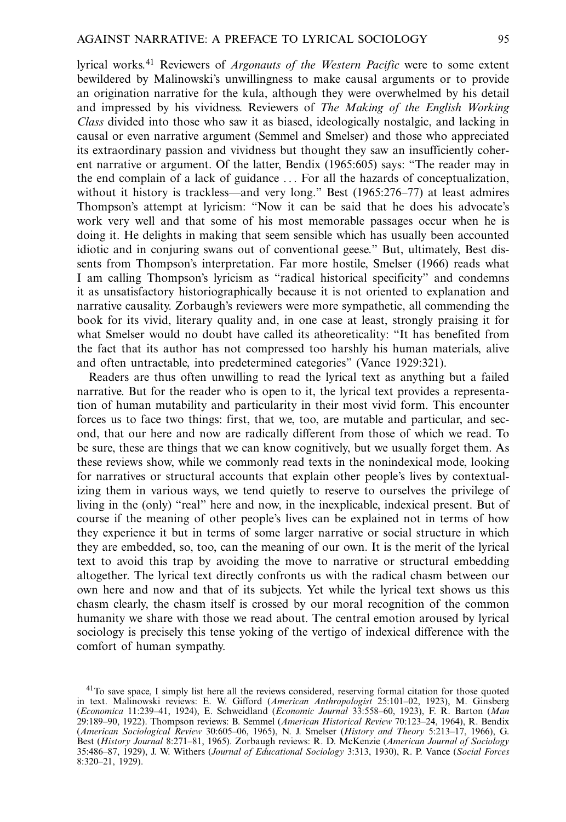lyrical works.<sup>41</sup> Reviewers of *Argonauts of the Western Pacific* were to some extent bewildered by Malinowski's unwillingness to make causal arguments or to provide an origination narrative for the kula, although they were overwhelmed by his detail and impressed by his vividness. Reviewers of *The Making of the English Working Class* divided into those who saw it as biased, ideologically nostalgic, and lacking in causal or even narrative argument (Semmel and Smelser) and those who appreciated its extraordinary passion and vividness but thought they saw an insufficiently coherent narrative or argument. Of the latter, Bendix (1965:605) says: "The reader may in the end complain of a lack of guidance ... For all the hazards of conceptualization, without it history is trackless—and very long." Best (1965:276–77) at least admires Thompson's attempt at lyricism: "Now it can be said that he does his advocate's work very well and that some of his most memorable passages occur when he is doing it. He delights in making that seem sensible which has usually been accounted idiotic and in conjuring swans out of conventional geese." But, ultimately, Best dissents from Thompson's interpretation. Far more hostile, Smelser (1966) reads what I am calling Thompson's lyricism as "radical historical specificity" and condemns it as unsatisfactory historiographically because it is not oriented to explanation and narrative causality. Zorbaugh's reviewers were more sympathetic, all commending the book for its vivid, literary quality and, in one case at least, strongly praising it for what Smelser would no doubt have called its atheoreticality: "It has benefited from the fact that its author has not compressed too harshly his human materials, alive and often untractable, into predetermined categories" (Vance 1929:321).

Readers are thus often unwilling to read the lyrical text as anything but a failed narrative. But for the reader who is open to it, the lyrical text provides a representation of human mutability and particularity in their most vivid form. This encounter forces us to face two things: first, that we, too, are mutable and particular, and second, that our here and now are radically different from those of which we read. To be sure, these are things that we can know cognitively, but we usually forget them. As these reviews show, while we commonly read texts in the nonindexical mode, looking for narratives or structural accounts that explain other people's lives by contextualizing them in various ways, we tend quietly to reserve to ourselves the privilege of living in the (only) "real" here and now, in the inexplicable, indexical present. But of course if the meaning of other people's lives can be explained not in terms of how they experience it but in terms of some larger narrative or social structure in which they are embedded, so, too, can the meaning of our own. It is the merit of the lyrical text to avoid this trap by avoiding the move to narrative or structural embedding altogether. The lyrical text directly confronts us with the radical chasm between our own here and now and that of its subjects. Yet while the lyrical text shows us this chasm clearly, the chasm itself is crossed by our moral recognition of the common humanity we share with those we read about. The central emotion aroused by lyrical sociology is precisely this tense yoking of the vertigo of indexical difference with the comfort of human sympathy.

<sup>41</sup>To save space, I simply list here all the reviews considered, reserving formal citation for those quoted in text. Malinowski reviews: E. W. Gifford (*American Anthropologist* 25:101–02, 1923), M. Ginsberg (*Economica* 11:239–41, 1924), E. Schweidland (*Economic Journal* 33:558–60, 1923), F. R. Barton (*Man* 29:189–90, 1922). Thompson reviews: B. Semmel (*American Historical Review* 70:123–24, 1964), R. Bendix (*American Sociological Review* 30:605–06, 1965), N. J. Smelser (*History and Theory* 5:213–17, 1966), G. Best (*History Journal* 8:271–81, 1965). Zorbaugh reviews: R. D. McKenzie (*American Journal of Sociology* 35:486–87, 1929), J. W. Withers(*Journal of Educational Sociology* 3:313, 1930), R. P. Vance (*Social Forces* 8:320–21, 1929).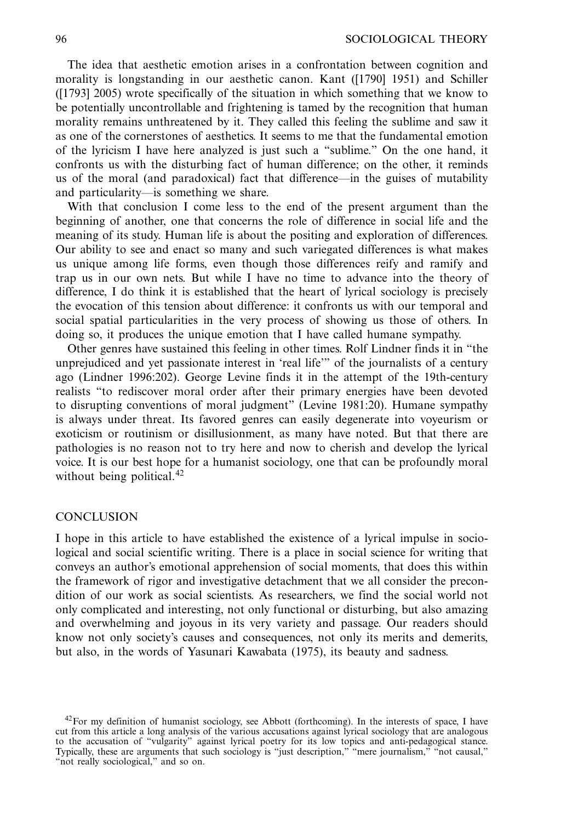The idea that aesthetic emotion arises in a confrontation between cognition and morality is longstanding in our aesthetic canon. Kant ([1790] 1951) and Schiller ([1793] 2005) wrote specifically of the situation in which something that we know to be potentially uncontrollable and frightening istamed by the recognition that human morality remains unthreatened by it. They called this feeling the sublime and saw it as one of the cornerstones of aesthetics. It seems to me that the fundamental emotion of the lyricism I have here analyzed is just such a "sublime." On the one hand, it confronts us with the disturbing fact of human difference; on the other, it reminds us of the moral (and paradoxical) fact that difference—in the guises of mutability and particularity—is something we share.

With that conclusion I come less to the end of the present argument than the beginning of another, one that concerns the role of difference in social life and the meaning of its study. Human life is about the positing and exploration of differences. Our ability to see and enact so many and such variegated differences is what makes us unique among life forms, even though those differences reify and ramify and trap usin our own nets. But while I have no time to advance into the theory of difference, I do think it is established that the heart of lyrical sociology is precisely the evocation of this tension about difference: it confronts us with our temporal and social spatial particularities in the very process of showing us those of others. In doing so, it produces the unique emotion that I have called humane sympathy.

Other genreshave sustained thisfeeling in other times. Rolf Lindner findsit in "the unprejudiced and yet passionate interest in 'real life'" of the journalists of a century ago (Lindner 1996:202). George Levine findsit in the attempt of the 19th-century realists "to rediscover moral order after their primary energies have been devoted to disrupting conventions of moral judgment" (Levine 1981:20). Humane sympathy is always under threat. Its favored genres can easily degenerate into voyeurism or exoticism or routinism or disillusionment, as many have noted. But that there are pathologies is no reason not to try here and now to cherish and develop the lyrical voice. It is our best hope for a humanist sociology, one that can be profoundly moral without being political. $42$ 

#### CONCLUSION

I hope in this article to have established the existence of a lyrical impulse in sociological and social scientific writing. There is a place in social science for writing that conveys an author's emotional apprehension of social moments, that does this within the framework of rigor and investigative detachment that we all consider the precondition of our work as social scientists. As researchers, we find the social world not only complicated and interesting, not only functional or disturbing, but also amazing and overwhelming and joyous in its very variety and passage. Our readers should know not only society's causes and consequences, not only its merits and demerits, but also, in the words of Yasunari Kawabata (1975), its beauty and sadness.

 $^{42}$ For my definition of humanist sociology, see Abbott (forthcoming). In the interests of space, I have cut from this article a long analysis of the various accusations against lyrical sociology that are analogous to the accusation of "vulgarity" against lyrical poetry for its low topics and anti-pedagogical stance. Typically, these are arguments that such sociology is "just description," "mere journalism," "not causal," "not really sociological," and so on.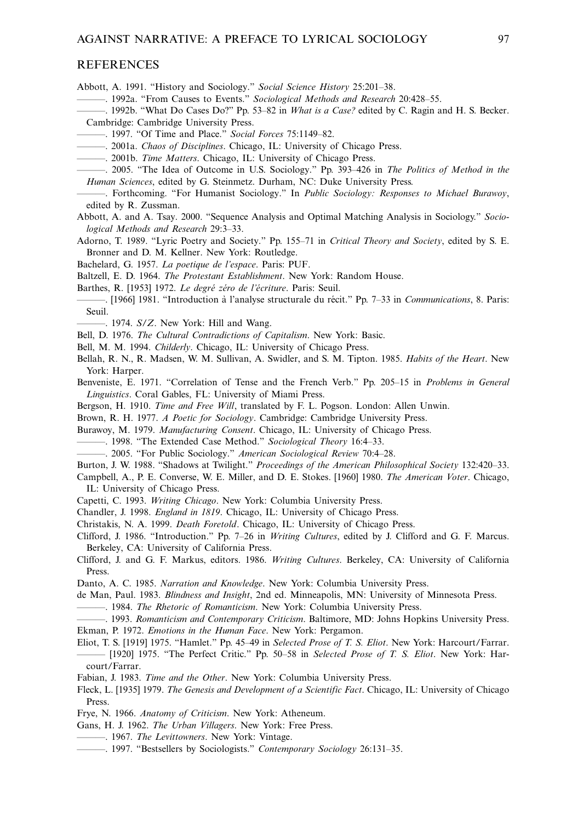#### REFERENCES

Abbott, A. 1991. "History and Sociology." *Social Science History* 25:201–38.

- ———. 1992a. "From Causes to Events." *Sociological Methods and Research* 20:428–55.
- ———. 1992b. "What Do Cases Do?" Pp. 53–82 in *What is a Case?* edited by C. Ragin and H. S. Becker. Cambridge: Cambridge University Press.
- ———. 1997. "Of Time and Place." *Social Forces* 75:1149–82.
- ———. 2001a. *Chaos of Disciplines*. Chicago, IL: University of Chicago Press.
- ———. 2001b. *Time Matters*. Chicago, IL: University of Chicago Press.
- ———. 2005. "The Idea of Outcome in U.S. Sociology." Pp. 393–426 in *The Politics of Method in the*

*Human Sciences*, edited by G. Steinmetz. Durham, NC: Duke University Press. ———. Forthcoming. "For Humanist Sociology." In *Public Sociology: Responses to Michael Burawoy*,

- edited by R. Zussman.
- Abbott, A. and A. Tsay. 2000. "Sequence Analysis and Optimal Matching Analysis in Sociology." *Sociological Methods and Research* 29:3–33.
- Adorno, T. 1989. "Lyric Poetry and Society." Pp. 155–71 in *Critical Theory and Society*, edited by S. E. Bronner and D. M. Kellner. New York: Routledge.
- Bachelard, G. 1957. *La poetique de l'espace*. Paris: PUF.
- Baltzell, E. D. 1964. *The Protestant Establishment*. New York: Random House.
- Barthes, R. [1953] 1972. *Le degré zéro de l'écriture*. Paris: Seuil.

———. [1966] 1981. "Introduction a l'analyse structurale du r ` ecit." Pp. 7–33 in ´ *Communications*, 8. Paris: Seuil.

- ———. 1974. *S/Z*. New York: Hill and Wang.
- Bell, D. 1976. *The Cultural Contradictions of Capitalism*. New York: Basic.
- Bell, M. M. 1994. *Childerly*. Chicago, IL: University of Chicago Press.
- Bellah, R. N., R. Madsen, W. M. Sullivan, A. Swidler, and S. M. Tipton. 1985. *Habits of the Heart*. New York: Harper.
- Benveniste, E. 1971. "Correlation of Tense and the French Verb." Pp. 205–15 in *Problems in General Linguistics*. Coral Gables, FL: University of Miami Press.
- Bergson, H. 1910. *Time and Free Will*, translated by F. L. Pogson. London: Allen Unwin.
- Brown, R. H. 1977. *A Poetic for Sociology*. Cambridge: Cambridge University Press.
- Burawoy, M. 1979. *Manufacturing Consent*. Chicago, IL: University of Chicago Press.
- ———. 1998. "The Extended Case Method." *Sociological Theory* 16:4–33.
- ———. 2005. "For Public Sociology." *American Sociological Review* 70:4–28.
- Burton, J. W. 1988. "Shadowsat Twilight." *Proceedings of the American Philosophical Society* 132:420–33.
- Campbell, A., P. E. Converse, W. E. Miller, and D. E. Stokes. [1960] 1980. *The American Voter*. Chicago, IL: University of Chicago Press.
- Capetti, C. 1993. *Writing Chicago*. New York: Columbia University Press.
- Chandler, J. 1998. *England in 1819*. Chicago, IL: University of Chicago Press.
- Christakis, N. A. 1999. *Death Foretold*. Chicago, IL: University of Chicago Press.
- Clifford, J. 1986. "Introduction." Pp. 7–26 in *Writing Cultures*, edited by J. Clifford and G. F. Marcus. Berkeley, CA: University of California Press.
- Clifford, J. and G. F. Markus, editors. 1986. *Writing Cultures*. Berkeley, CA: University of California Press.
- Danto, A. C. 1985. *Narration and Knowledge*. New York: Columbia University Press.
- de Man, Paul. 1983. *Blindness and Insight*, 2nd ed. Minneapolis, MN: University of Minnesota Press.
- ———. 1984. *The Rhetoric of Romanticism*. New York: Columbia University Press.
- ———. 1993. *Romanticism and Contemporary Criticism*. Baltimore, MD: Johns Hopkins University Press. Ekman, P. 1972. *Emotions in the Human Face*. New York: Pergamon.
- Eliot, T. S. [1919] 1975. "Hamlet." Pp. 45–49 in *Selected Prose of T. S. Eliot*. New York: Harcourt/Farrar.
- ——— [1920] 1975. "The Perfect Critic." Pp. 50–58 in *Selected Prose of T. S. Eliot*. New York: Harcourt/Farrar.
- Fabian, J. 1983. *Time and the Other*. New York: Columbia University Press.
- Fleck, L. [1935] 1979. *The Genesis and Development of a Scientific Fact*. Chicago, IL: University of Chicago Press.
- Frye, N. 1966. *Anatomy of Criticism*. New York: Atheneum.
- Gans, H. J. 1962. *The Urban Villagers*. New York: Free Press.
- ———. 1967. *The Levittowners*. New York: Vintage.
- ———. 1997. "Bestsellers by Sociologists." *Contemporary Sociology* 26:131–35.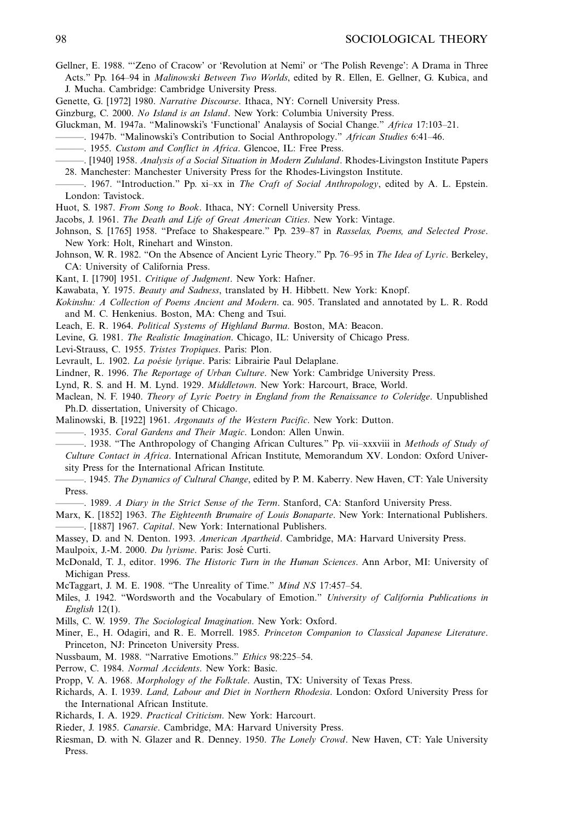- Gellner, E. 1988. "'Zeno of Cracow' or 'Revolution at Nemi' or 'The Polish Revenge': A Drama in Three Acts." Pp. 164–94 in *Malinowski Between Two Worlds*, edited by R. Ellen, E. Gellner, G. Kubica, and J. Mucha. Cambridge: Cambridge University Press.
- Genette, G. [1972] 1980. *Narrative Discourse*. Ithaca, NY: Cornell University Press.
- Ginzburg, C. 2000. *No Island is an Island*. New York: Columbia University Press.
- Gluckman, M. 1947a. "Malinowski's 'Functional' Analaysis of Social Change." *Africa* 17:103–21.
	- ———. 1947b. "Malinowski's Contribution to Social Anthropology." *African Studies* 6:41–46.
	- ———. 1955. *Custom and Conflict in Africa*. Glencoe, IL: Free Press.
- ———. [1940] 1958. *Analysis of a Social Situation in Modern Zululand*. Rhodes-Livingston Institute Papers 28. Manchester: Manchester University Press for the Rhodes-Livingston Institute.
- ———. 1967. "Introduction." Pp. xi–xx in *The Craft of Social Anthropology*, edited by A. L. Epstein. London: Tavistock.
- Huot, S. 1987. *From Song to Book*. Ithaca, NY: Cornell University Press.
- Jacobs, J. 1961. *The Death and Life of Great American Cities*. New York: Vintage.
- Johnson, S. [1765] 1958. "Preface to Shakespeare." Pp. 239–87 in *Rasselas, Poems, and Selected Prose*. New York: Holt, Rinehart and Winston.
- Johnson, W. R. 1982. "On the Absence of Ancient Lyric Theory." Pp. 76–95 in *The Idea of Lyric*. Berkeley, CA: University of California Press.
- Kant, I. [1790] 1951. *Critique of Judgment*. New York: Hafner.
- Kawabata, Y. 1975. *Beauty and Sadness*, translated by H. Hibbett. New York: Knopf.
- *Kokinshu: A Collection of Poems Ancient and Modern*. ca. 905. Translated and annotated by L. R. Rodd and M. C. Henkenius. Boston, MA: Cheng and Tsui.
- Leach, E. R. 1964. *Political Systems of Highland Burma*. Boston, MA: Beacon.
- Levine, G. 1981. *The Realistic Imagination*. Chicago, IL: University of Chicago Press.
- Levi-Strauss, C. 1955. *Tristes Tropiques*. Paris: Plon.
- Levrault, L. 1902. *La poésie lyrique*. Paris: Librairie Paul Delaplane.
- Lindner, R. 1996. *The Reportage of Urban Culture*. New York: Cambridge University Press.
- Lynd, R. S. and H. M. Lynd. 1929. *Middletown*. New York: Harcourt, Brace, World.
- Maclean, N. F. 1940. *Theory of Lyric Poetry in England from the Renaissance to Coleridge*. Unpublished Ph.D. dissertation, University of Chicago.
- Malinowski, B. [1922] 1961. *Argonauts of the Western Pacific*. New York: Dutton.
- ———. 1935. *Coral Gardens and Their Magic*. London: Allen Unwin.
- ———. 1938. "The Anthropology of Changing African Cultures." Pp. vii–xxxviii in *Methods of Study of Culture Contact in Africa*. International African Institute, Memorandum XV. London: Oxford University Press for the International African Institute.
- ———. 1945. *The Dynamics of Cultural Change*, edited by P. M. Kaberry. New Haven, CT: Yale University Press.
- ———. 1989. *A Diary in the Strict Sense of the Term*. Stanford, CA: Stanford University Press.
- Marx, K. [1852] 1963. *The Eighteenth Brumaire of Louis Bonaparte*. New York: International Publishers. ———. [1887] 1967. *Capital*. New York: International Publishers.
- Massey, D. and N. Denton. 1993. *American Apartheid*. Cambridge, MA: Harvard University Press.
- Maulpoix, J.-M. 2000. *Du lyrisme*. Paris: Jose Curti. ´
- McDonald, T. J., editor. 1996. *The Historic Turn in the Human Sciences*. Ann Arbor, MI: University of Michigan Press.
- McTaggart, J. M. E. 1908. "The Unreality of Time." *Mind NS* 17:457–54.
- Miles, J. 1942. "Wordsworth and the Vocabulary of Emotion." *University of California Publications in English* 12(1).
- Mills, C. W. 1959. *The Sociological Imagination*. New York: Oxford.
- Miner, E., H. Odagiri, and R. E. Morrell. 1985. *Princeton Companion to Classical Japanese Literature*. Princeton, NJ: Princeton University Press.
- Nussbaum, M. 1988. "Narrative Emotions." *Ethics* 98:225–54.
- Perrow, C. 1984. *Normal Accidents*. New York: Basic.
- Propp, V. A. 1968. *Morphology of the Folktale*. Austin, TX: University of Texas Press.
- Richards, A. I. 1939. *Land, Labour and Diet in Northern Rhodesia*. London: Oxford University Press for the International African Institute.
- Richards, I. A. 1929. *Practical Criticism*. New York: Harcourt.
- Rieder, J. 1985. *Canarsie*. Cambridge, MA: Harvard University Press.
- Riesman, D. with N. Glazer and R. Denney. 1950. *The Lonely Crowd*. New Haven, CT: Yale University Press.